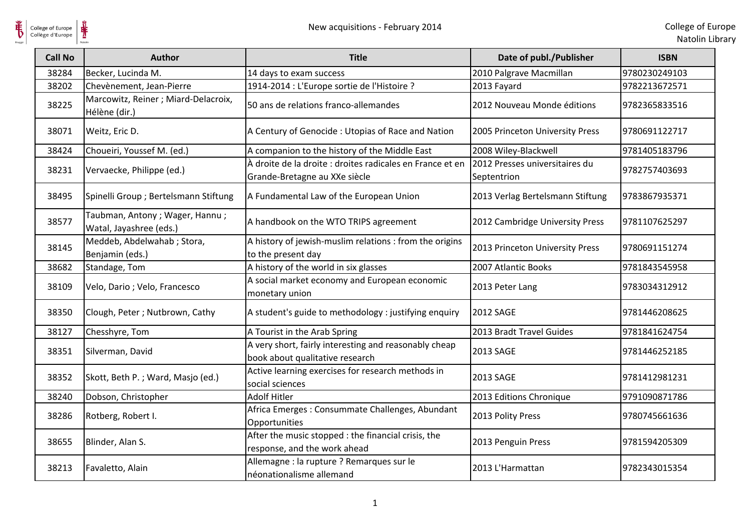

| <b>Call No</b> | <b>Author</b>                                             | <b>Title</b>                                                                               | Date of publ./Publisher                       | <b>ISBN</b>   |
|----------------|-----------------------------------------------------------|--------------------------------------------------------------------------------------------|-----------------------------------------------|---------------|
| 38284          | Becker, Lucinda M.                                        | 14 days to exam success                                                                    | 2010 Palgrave Macmillan                       | 9780230249103 |
| 38202          | Chevènement, Jean-Pierre                                  | 1914-2014 : L'Europe sortie de l'Histoire ?                                                | 2013 Fayard                                   | 9782213672571 |
| 38225          | Marcowitz, Reiner; Miard-Delacroix,<br>Hélène (dir.)      | 50 ans de relations franco-allemandes                                                      | 2012 Nouveau Monde éditions                   | 9782365833516 |
| 38071          | Weitz, Eric D.                                            | A Century of Genocide: Utopias of Race and Nation                                          | 2005 Princeton University Press               | 9780691122717 |
| 38424          | Choueiri, Youssef M. (ed.)                                | A companion to the history of the Middle East                                              | 2008 Wiley-Blackwell                          | 9781405183796 |
| 38231          | Vervaecke, Philippe (ed.)                                 | À droite de la droite : droites radicales en France et en<br>Grande-Bretagne au XXe siècle | 2012 Presses universitaires du<br>Septentrion | 9782757403693 |
| 38495          | Spinelli Group ; Bertelsmann Stiftung                     | A Fundamental Law of the European Union                                                    | 2013 Verlag Bertelsmann Stiftung              | 9783867935371 |
| 38577          | Taubman, Antony; Wager, Hannu;<br>Watal, Jayashree (eds.) | A handbook on the WTO TRIPS agreement                                                      | 2012 Cambridge University Press               | 9781107625297 |
| 38145          | Meddeb, Abdelwahab ; Stora,<br>Benjamin (eds.)            | A history of jewish-muslim relations : from the origins<br>to the present day              | 2013 Princeton University Press               | 9780691151274 |
| 38682          | Standage, Tom                                             | A history of the world in six glasses                                                      | 2007 Atlantic Books                           | 9781843545958 |
| 38109          | Velo, Dario; Velo, Francesco                              | A social market economy and European economic<br>monetary union                            | 2013 Peter Lang                               | 9783034312912 |
| 38350          | Clough, Peter; Nutbrown, Cathy                            | A student's guide to methodology : justifying enquiry                                      | 2012 SAGE                                     | 9781446208625 |
| 38127          | Chesshyre, Tom                                            | A Tourist in the Arab Spring                                                               | 2013 Bradt Travel Guides                      | 9781841624754 |
| 38351          | Silverman, David                                          | A very short, fairly interesting and reasonably cheap<br>book about qualitative research   | 2013 SAGE                                     | 9781446252185 |
| 38352          | Skott, Beth P.; Ward, Masjo (ed.)                         | Active learning exercises for research methods in<br>social sciences                       | 2013 SAGE                                     | 9781412981231 |
| 38240          | Dobson, Christopher                                       | <b>Adolf Hitler</b>                                                                        | 2013 Editions Chronique                       | 9791090871786 |
| 38286          | Rotberg, Robert I.                                        | Africa Emerges: Consummate Challenges, Abundant<br>Opportunities                           | 2013 Polity Press                             | 9780745661636 |
| 38655          | Blinder, Alan S.                                          | After the music stopped : the financial crisis, the<br>response, and the work ahead        | 2013 Penguin Press                            | 9781594205309 |
| 38213          | Favaletto, Alain                                          | Allemagne : la rupture ? Remarques sur le<br>néonationalisme allemand                      | 2013 L'Harmattan                              | 9782343015354 |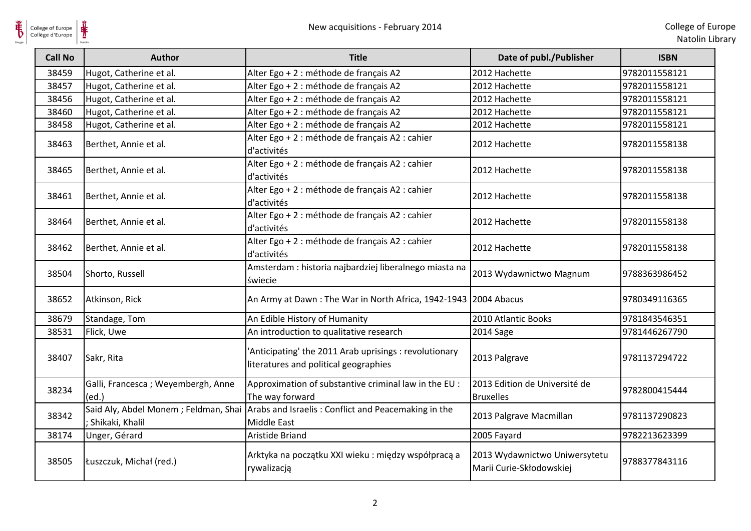| College of Europe<br>Collège d'Europe | ⋕<br>New acquisitions - February 2014                   |                                                                                                 |                                                           | College of Eur<br>Natolin Lib |
|---------------------------------------|---------------------------------------------------------|-------------------------------------------------------------------------------------------------|-----------------------------------------------------------|-------------------------------|
| <b>Call No</b>                        | <b>Author</b>                                           | <b>Title</b>                                                                                    | Date of publ./Publisher                                   | <b>ISBN</b>                   |
| 38459                                 | Hugot, Catherine et al.                                 | Alter Ego + 2 : méthode de français A2                                                          | 2012 Hachette                                             | 9782011558121                 |
| 38457                                 | Hugot, Catherine et al.                                 | Alter Ego + 2 : méthode de français A2                                                          | 2012 Hachette                                             | 9782011558121                 |
| 38456                                 | Hugot, Catherine et al.                                 | Alter Ego + 2 : méthode de français A2                                                          | 2012 Hachette                                             | 9782011558121                 |
| 38460                                 | Hugot, Catherine et al.                                 | Alter Ego + 2 : méthode de français A2                                                          | 2012 Hachette                                             | 9782011558121                 |
| 38458                                 | Hugot, Catherine et al.                                 | Alter Ego + 2 : méthode de français A2                                                          | 2012 Hachette                                             | 9782011558121                 |
| 38463                                 | Berthet, Annie et al.                                   | Alter Ego + 2 : méthode de français A2 : cahier<br>d'activités                                  | 2012 Hachette                                             | 9782011558138                 |
| 38465                                 | Berthet, Annie et al.                                   | Alter Ego + 2 : méthode de français A2 : cahier<br>d'activités                                  | 2012 Hachette                                             | 9782011558138                 |
| 38461                                 | Berthet, Annie et al.                                   | Alter Ego + 2 : méthode de français A2 : cahier<br>d'activités                                  | 2012 Hachette                                             | 9782011558138                 |
| 38464                                 | Berthet, Annie et al.                                   | Alter Ego + 2 : méthode de français A2 : cahier<br>d'activités                                  | 2012 Hachette                                             | 9782011558138                 |
| 38462                                 | Berthet, Annie et al.                                   | Alter Ego + 2 : méthode de français A2 : cahier<br>d'activités                                  | 2012 Hachette                                             | 9782011558138                 |
| 38504                                 | Shorto, Russell                                         | Amsterdam : historia najbardziej liberalnego miasta na<br>świecie                               | 2013 Wydawnictwo Magnum                                   | 9788363986452                 |
| 38652                                 | Atkinson, Rick                                          | An Army at Dawn: The War in North Africa, 1942-1943   2004 Abacus                               |                                                           | 9780349116365                 |
| 38679                                 | Standage, Tom                                           | An Edible History of Humanity                                                                   | 2010 Atlantic Books                                       | 9781843546351                 |
| 38531                                 | Flick, Uwe                                              | An introduction to qualitative research                                                         | 2014 Sage                                                 | 9781446267790                 |
| 38407                                 | Sakr, Rita                                              | 'Anticipating' the 2011 Arab uprisings : revolutionary<br>literatures and political geographies | 2013 Palgrave                                             | 9781137294722                 |
| 38234                                 | Galli, Francesca; Weyembergh, Anne<br>(ed.)             | Approximation of substantive criminal law in the EU :<br>The way forward                        | 2013 Edition de Université de<br><b>Bruxelles</b>         | 9782800415444                 |
| 38342                                 | Said Aly, Abdel Monem; Feldman, Shai<br>Shikaki, Khalil | Arabs and Israelis: Conflict and Peacemaking in the<br><b>Middle East</b>                       | 2013 Palgrave Macmillan                                   | 9781137290823                 |
| 38174                                 | Unger, Gérard                                           | Aristide Briand                                                                                 | 2005 Fayard                                               | 9782213623399                 |
| 38505                                 | Łuszczuk, Michał (red.)                                 | Arktyka na początku XXI wieku: między współpracą a<br>rywalizacją                               | 2013 Wydawnictwo Uniwersytetu<br>Marii Curie-Skłodowskiej | 9788377843116                 |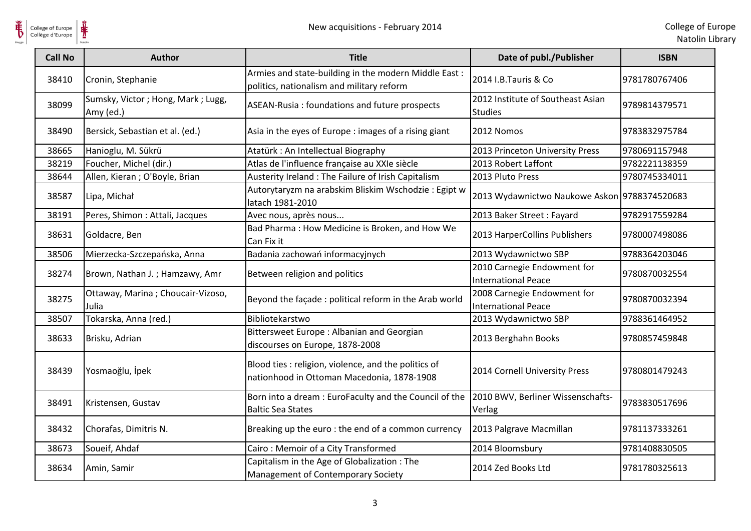

| College of Europe<br>Collège d'Europe |                                                | New acquisitions - February 2014                                                                   |                                                           | College of Eur<br>Natolin Lib |
|---------------------------------------|------------------------------------------------|----------------------------------------------------------------------------------------------------|-----------------------------------------------------------|-------------------------------|
| <b>Call No</b>                        | <b>Author</b>                                  | <b>Title</b>                                                                                       | Date of publ./Publisher                                   | <b>ISBN</b>                   |
| 38410                                 | Cronin, Stephanie                              | Armies and state-building in the modern Middle East:<br>politics, nationalism and military reform  | 2014 I.B.Tauris & Co                                      | 9781780767406                 |
| 38099                                 | Sumsky, Victor; Hong, Mark; Lugg,<br>Amy (ed.) | ASEAN-Rusia: foundations and future prospects                                                      | 2012 Institute of Southeast Asian<br><b>Studies</b>       | 9789814379571                 |
| 38490                                 | Bersick, Sebastian et al. (ed.)                | Asia in the eyes of Europe : images of a rising giant                                              | 2012 Nomos                                                | 9783832975784                 |
| 38665                                 | Hanioglu, M. Sükrü                             | Atatürk: An Intellectual Biography                                                                 | 2013 Princeton University Press                           | 9780691157948                 |
| 38219                                 | Foucher, Michel (dir.)                         | Atlas de l'influence française au XXIe siècle                                                      | 2013 Robert Laffont                                       | 9782221138359                 |
| 38644                                 | Allen, Kieran; O'Boyle, Brian                  | Austerity Ireland : The Failure of Irish Capitalism                                                | 2013 Pluto Press                                          | 9780745334011                 |
| 38587                                 | Lipa, Michał                                   | Autorytaryzm na arabskim Bliskim Wschodzie: Egipt w<br>latach 1981-2010                            | 2013 Wydawnictwo Naukowe Askon 9788374520683              |                               |
| 38191                                 | Peres, Shimon: Attali, Jacques                 | Avec nous, après nous                                                                              | 2013 Baker Street: Fayard                                 | 9782917559284                 |
| 38631                                 | Goldacre, Ben                                  | Bad Pharma: How Medicine is Broken, and How We<br>Can Fix it                                       | 2013 HarperCollins Publishers                             | 9780007498086                 |
| 38506                                 | Mierzecka-Szczepańska, Anna                    | Badania zachowań informacyjnych                                                                    | 2013 Wydawnictwo SBP                                      | 9788364203046                 |
| 38274                                 | Brown, Nathan J.; Hamzawy, Amr                 | Between religion and politics                                                                      | 2010 Carnegie Endowment for<br><b>International Peace</b> | 9780870032554                 |
| 38275                                 | Ottaway, Marina; Choucair-Vizoso,<br>Julia     | Beyond the façade : political reform in the Arab world                                             | 2008 Carnegie Endowment for<br><b>International Peace</b> | 9780870032394                 |
| 38507                                 | Tokarska, Anna (red.)                          | Bibliotekarstwo                                                                                    | 2013 Wydawnictwo SBP                                      | 9788361464952                 |
| 38633                                 | Brisku, Adrian                                 | Bittersweet Europe: Albanian and Georgian<br>discourses on Europe, 1878-2008                       | 2013 Berghahn Books                                       | 9780857459848                 |
| 38439                                 | Yosmaoğlu, İpek                                | Blood ties : religion, violence, and the politics of<br>nationhood in Ottoman Macedonia, 1878-1908 | 2014 Cornell University Press                             | 9780801479243                 |
| 38491                                 | Kristensen, Gustav                             | Born into a dream : EuroFaculty and the Council of the<br><b>Baltic Sea States</b>                 | 2010 BWV, Berliner Wissenschafts-<br>Verlag               | 9783830517696                 |
| 38432                                 | Chorafas, Dimitris N.                          | Breaking up the euro: the end of a common currency                                                 | 2013 Palgrave Macmillan                                   | 9781137333261                 |
| 38673                                 | Soueif, Ahdaf                                  | Cairo: Memoir of a City Transformed                                                                | 2014 Bloomsbury                                           | 9781408830505                 |
| 38634                                 | Amin, Samir                                    | Capitalism in the Age of Globalization: The<br>Management of Contemporary Society                  | 2014 Zed Books Ltd                                        | 9781780325613                 |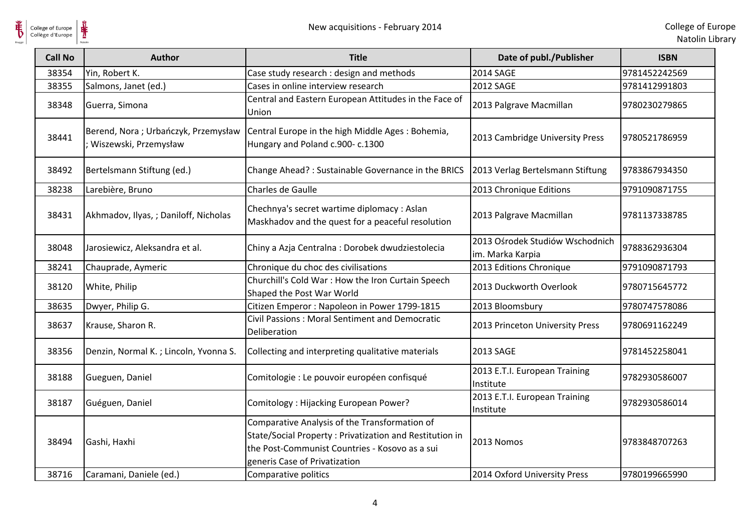**HE** 

| <b>Call No</b> | <b>Author</b>                                                | <b>Title</b>                                                                                                                                                                                | Date of publ./Publisher                             | <b>ISBN</b>   |
|----------------|--------------------------------------------------------------|---------------------------------------------------------------------------------------------------------------------------------------------------------------------------------------------|-----------------------------------------------------|---------------|
| 38354          | Yin, Robert K.                                               | Case study research : design and methods                                                                                                                                                    | <b>2014 SAGE</b>                                    | 9781452242569 |
| 38355          | Salmons, Janet (ed.)                                         | Cases in online interview research                                                                                                                                                          | 2012 SAGE                                           | 9781412991803 |
| 38348          | Guerra, Simona                                               | Central and Eastern European Attitudes in the Face of<br>Union                                                                                                                              | 2013 Palgrave Macmillan                             | 9780230279865 |
| 38441          | Berend, Nora; Urbańczyk, Przemysław<br>Wiszewski, Przemysław | Central Europe in the high Middle Ages: Bohemia,<br>Hungary and Poland c.900- c.1300                                                                                                        | 2013 Cambridge University Press                     | 9780521786959 |
| 38492          | Bertelsmann Stiftung (ed.)                                   | Change Ahead? : Sustainable Governance in the BRICS                                                                                                                                         | 2013 Verlag Bertelsmann Stiftung                    | 9783867934350 |
| 38238          | Larebière, Bruno                                             | Charles de Gaulle                                                                                                                                                                           | 2013 Chronique Editions                             | 9791090871755 |
| 38431          | Akhmadov, Ilyas, ; Daniloff, Nicholas                        | Chechnya's secret wartime diplomacy : Aslan<br>Maskhadov and the quest for a peaceful resolution                                                                                            | 2013 Palgrave Macmillan                             | 9781137338785 |
| 38048          | Jarosiewicz, Aleksandra et al.                               | Chiny a Azja Centralna : Dorobek dwudziestolecia                                                                                                                                            | 2013 Ośrodek Studiów Wschodnich<br>im. Marka Karpia | 9788362936304 |
| 38241          | Chauprade, Aymeric                                           | Chronique du choc des civilisations                                                                                                                                                         | 2013 Editions Chronique                             | 9791090871793 |
| 38120          | White, Philip                                                | Churchill's Cold War : How the Iron Curtain Speech<br>Shaped the Post War World                                                                                                             | 2013 Duckworth Overlook                             | 9780715645772 |
| 38635          | Dwyer, Philip G.                                             | Citizen Emperor: Napoleon in Power 1799-1815                                                                                                                                                | 2013 Bloomsbury                                     | 9780747578086 |
| 38637          | Krause, Sharon R.                                            | Civil Passions: Moral Sentiment and Democratic<br>Deliberation                                                                                                                              | 2013 Princeton University Press                     | 9780691162249 |
| 38356          | Denzin, Normal K.; Lincoln, Yvonna S.                        | Collecting and interpreting qualitative materials                                                                                                                                           | 2013 SAGE                                           | 9781452258041 |
| 38188          | Gueguen, Daniel                                              | Comitologie : Le pouvoir européen confisqué                                                                                                                                                 | 2013 E.T.I. European Training<br>Institute          | 9782930586007 |
| 38187          | Guéguen, Daniel                                              | Comitology: Hijacking European Power?                                                                                                                                                       | 2013 E.T.I. European Training<br>Institute          | 9782930586014 |
| 38494          | Gashi, Haxhi                                                 | Comparative Analysis of the Transformation of<br>State/Social Property: Privatization and Restitution in<br>the Post-Communist Countries - Kosovo as a sui<br>generis Case of Privatization | 2013 Nomos                                          | 9783848707263 |
| 38716          | Caramani, Daniele (ed.)                                      | Comparative politics                                                                                                                                                                        | 2014 Oxford University Press                        | 9780199665990 |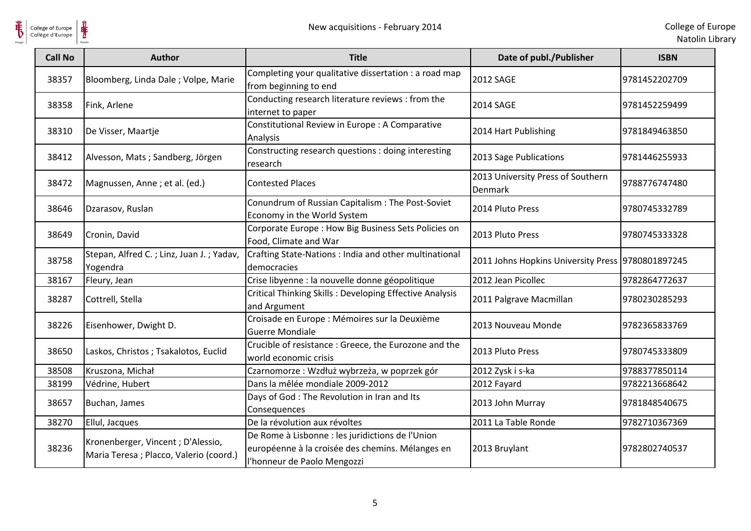

College of Europe

| <b>Call No</b> | <b>Author</b>                                                                | <b>Title</b>                                                                                                                        | Date of publ./Publisher                           | <b>ISBN</b>   |
|----------------|------------------------------------------------------------------------------|-------------------------------------------------------------------------------------------------------------------------------------|---------------------------------------------------|---------------|
| 38357          | Bloomberg, Linda Dale; Volpe, Marie                                          | Completing your qualitative dissertation : a road map<br>from beginning to end                                                      | <b>2012 SAGE</b>                                  | 9781452202709 |
| 38358          | Fink, Arlene                                                                 | Conducting research literature reviews : from the<br>internet to paper                                                              | <b>2014 SAGE</b>                                  | 9781452259499 |
| 38310          | De Visser, Maartje                                                           | Constitutional Review in Europe : A Comparative<br>Analysis                                                                         | 2014 Hart Publishing                              | 9781849463850 |
| 38412          | Alvesson, Mats; Sandberg, Jörgen                                             | Constructing research questions : doing interesting<br>research                                                                     | 2013 Sage Publications                            | 9781446255933 |
| 38472          | Magnussen, Anne ; et al. (ed.)                                               | <b>Contested Places</b>                                                                                                             | 2013 University Press of Southern<br>Denmark      | 9788776747480 |
| 38646          | Dzarasov, Ruslan                                                             | Conundrum of Russian Capitalism: The Post-Soviet<br>Economy in the World System                                                     | 2014 Pluto Press                                  | 9780745332789 |
| 38649          | Cronin, David                                                                | Corporate Europe : How Big Business Sets Policies on<br>Food, Climate and War                                                       | 2013 Pluto Press                                  | 9780745333328 |
| 38758          | Stepan, Alfred C.; Linz, Juan J.; Yadav,<br>Yogendra                         | Crafting State-Nations : India and other multinational<br>democracies                                                               | 2011 Johns Hopkins University Press 9780801897245 |               |
| 38167          | Fleury, Jean                                                                 | Crise libyenne : la nouvelle donne géopolitique                                                                                     | 2012 Jean Picollec                                | 9782864772637 |
| 38287          | Cottrell, Stella                                                             | <b>Critical Thinking Skills: Developing Effective Analysis</b><br>and Argument                                                      | 2011 Palgrave Macmillan                           | 9780230285293 |
| 38226          | Eisenhower, Dwight D.                                                        | Croisade en Europe : Mémoires sur la Deuxième<br><b>Guerre Mondiale</b>                                                             | 2013 Nouveau Monde                                | 9782365833769 |
| 38650          | Laskos, Christos; Tsakalotos, Euclid                                         | Crucible of resistance : Greece, the Eurozone and the<br>world economic crisis                                                      | 2013 Pluto Press                                  | 9780745333809 |
| 38508          | Kruszona, Michał                                                             | Czarnomorze : Wzdłuż wybrzeża, w poprzek gór                                                                                        | 2012 Zysk i s-ka                                  | 9788377850114 |
| 38199          | Védrine, Hubert                                                              | Dans la mêlée mondiale 2009-2012                                                                                                    | 2012 Fayard                                       | 9782213668642 |
| 38657          | Buchan, James                                                                | Days of God: The Revolution in Iran and Its<br>Consequences                                                                         | 2013 John Murray                                  | 9781848540675 |
| 38270          | Ellul, Jacques                                                               | De la révolution aux révoltes                                                                                                       | 2011 La Table Ronde                               | 9782710367369 |
| 38236          | Kronenberger, Vincent; D'Alessio,<br>Maria Teresa ; Placco, Valerio (coord.) | De Rome à Lisbonne : les juridictions de l'Union<br>européenne à la croisée des chemins. Mélanges en<br>l'honneur de Paolo Mengozzi | 2013 Bruylant                                     | 9782802740537 |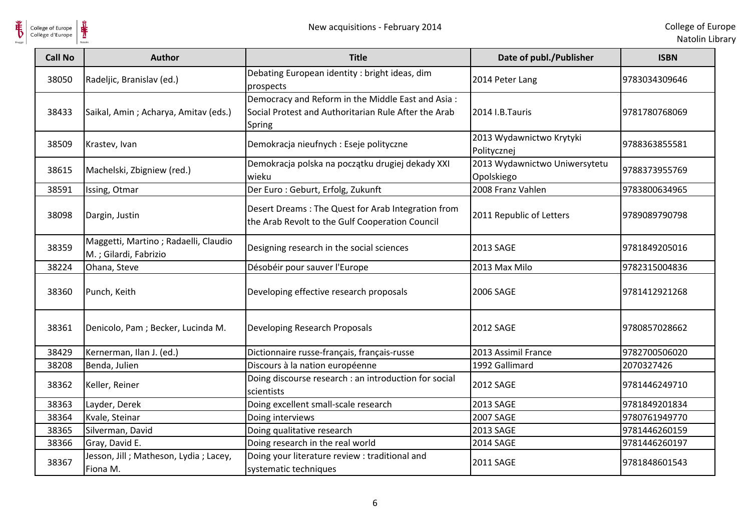

| <b>Call No</b> | <b>Author</b>                                                 | <b>Title</b>                                                                                                        | Date of publ./Publisher                     | <b>ISBN</b>   |
|----------------|---------------------------------------------------------------|---------------------------------------------------------------------------------------------------------------------|---------------------------------------------|---------------|
| 38050          | Radeljic, Branislav (ed.)                                     | Debating European identity : bright ideas, dim<br>prospects                                                         | 2014 Peter Lang                             | 9783034309646 |
| 38433          | Saikal, Amin; Acharya, Amitav (eds.)                          | Democracy and Reform in the Middle East and Asia:<br>Social Protest and Authoritarian Rule After the Arab<br>Spring | 2014 I.B.Tauris                             | 9781780768069 |
| 38509          | Krastev, Ivan                                                 | Demokracja nieufnych : Eseje polityczne                                                                             | 2013 Wydawnictwo Krytyki<br>Politycznej     | 9788363855581 |
| 38615          | Machelski, Zbigniew (red.)                                    | Demokracja polska na początku drugiej dekady XXI<br>wieku                                                           | 2013 Wydawnictwo Uniwersytetu<br>Opolskiego | 9788373955769 |
| 38591          | Issing, Otmar                                                 | Der Euro: Geburt, Erfolg, Zukunft                                                                                   | 2008 Franz Vahlen                           | 9783800634965 |
| 38098          | Dargin, Justin                                                | Desert Dreams: The Quest for Arab Integration from<br>the Arab Revolt to the Gulf Cooperation Council               | 2011 Republic of Letters                    | 9789089790798 |
| 38359          | Maggetti, Martino; Radaelli, Claudio<br>M.; Gilardi, Fabrizio | Designing research in the social sciences                                                                           | 2013 SAGE                                   | 9781849205016 |
| 38224          | Ohana, Steve                                                  | Désobéir pour sauver l'Europe                                                                                       | 2013 Max Milo                               | 9782315004836 |
| 38360          | Punch, Keith                                                  | Developing effective research proposals                                                                             | 2006 SAGE                                   | 9781412921268 |
| 38361          | Denicolo, Pam ; Becker, Lucinda M.                            | Developing Research Proposals                                                                                       | 2012 SAGE                                   | 9780857028662 |
| 38429          | Kernerman, Ilan J. (ed.)                                      | Dictionnaire russe-français, français-russe                                                                         | 2013 Assimil France                         | 9782700506020 |
| 38208          | Benda, Julien                                                 | Discours à la nation européenne                                                                                     | 1992 Gallimard                              | 2070327426    |
| 38362          | Keller, Reiner                                                | Doing discourse research : an introduction for social<br>scientists                                                 | <b>2012 SAGE</b>                            | 9781446249710 |
| 38363          | Layder, Derek                                                 | Doing excellent small-scale research                                                                                | 2013 SAGE                                   | 9781849201834 |
| 38364          | Kvale, Steinar                                                | Doing interviews                                                                                                    | <b>2007 SAGE</b>                            | 9780761949770 |
| 38365          | Silverman, David                                              | Doing qualitative research                                                                                          | 2013 SAGE                                   | 9781446260159 |
| 38366          | Gray, David E.                                                | Doing research in the real world                                                                                    | <b>2014 SAGE</b>                            | 9781446260197 |
| 38367          | Jesson, Jill; Matheson, Lydia; Lacey,<br>Fiona M.             | Doing your literature review : traditional and<br>systematic techniques                                             | 2011 SAGE                                   | 9781848601543 |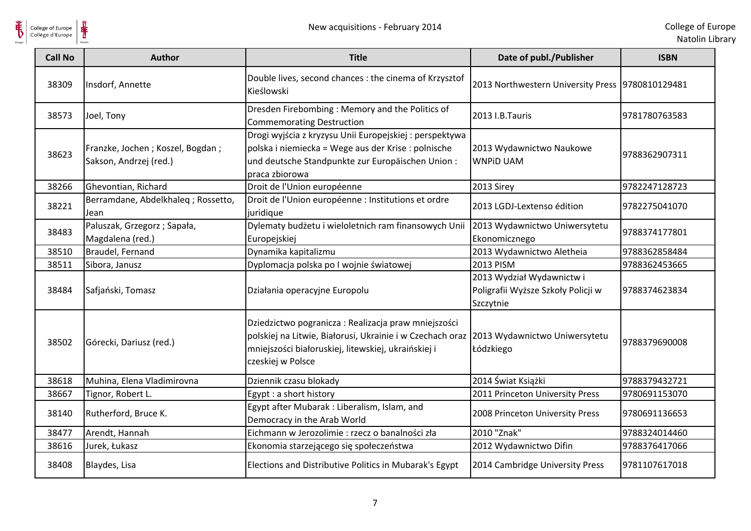

| <b>Call No</b> | <b>Author</b>                                              | <b>Title</b>                                                                                                                                                                                                               | Date of publ./Publisher                                                      | <b>ISBN</b>   |
|----------------|------------------------------------------------------------|----------------------------------------------------------------------------------------------------------------------------------------------------------------------------------------------------------------------------|------------------------------------------------------------------------------|---------------|
| 38309          | Insdorf, Annette                                           | Double lives, second chances : the cinema of Krzysztof<br>Kieślowski                                                                                                                                                       | 2013 Northwestern University Press 9780810129481                             |               |
| 38573          | Joel, Tony                                                 | Dresden Firebombing: Memory and the Politics of<br><b>Commemorating Destruction</b>                                                                                                                                        | 2013 I.B. Tauris                                                             | 9781780763583 |
| 38623          | Franzke, Jochen; Koszel, Bogdan;<br>Sakson, Andrzej (red.) | Drogi wyjścia z kryzysu Unii Europejskiej : perspektywa<br>polska i niemiecka = Wege aus der Krise : polnische<br>und deutsche Standpunkte zur Europäischen Union:<br>praca zbiorowa                                       | 2013 Wydawnictwo Naukowe<br><b>WNPID UAM</b>                                 | 9788362907311 |
| 38266          | Ghevontian, Richard                                        | Droit de l'Union européenne                                                                                                                                                                                                | 2013 Sirey                                                                   | 9782247128723 |
| 38221          | Berramdane, Abdelkhaleq; Rossetto,<br>Jean                 | Droit de l'Union européenne : Institutions et ordre<br>juridique                                                                                                                                                           | 2013 LGDJ-Lextenso édition                                                   | 9782275041070 |
| 38483          | Paluszak, Grzegorz; Sapała,<br>Magdalena (red.)            | Dylematy budżetu i wieloletnich ram finansowych Unii<br>Europejskiej                                                                                                                                                       | 2013 Wydawnictwo Uniwersytetu<br>Ekonomicznego                               | 9788374177801 |
| 38510          | Braudel, Fernand                                           | Dynamika kapitalizmu                                                                                                                                                                                                       | 2013 Wydawnictwo Aletheia                                                    | 9788362858484 |
| 38511          | Sibora, Janusz                                             | Dyplomacja polska po I wojnie światowej                                                                                                                                                                                    | <b>2013 PISM</b>                                                             | 9788362453665 |
| 38484          | Safjański, Tomasz                                          | Działania operacyjne Europolu                                                                                                                                                                                              | 2013 Wydział Wydawnictw i<br>Poligrafii Wyższe Szkoły Policji w<br>Szczytnie | 9788374623834 |
| 38502          | Górecki, Dariusz (red.)                                    | Dziedzictwo pogranicza: Realizacja praw mniejszości<br>polskiej na Litwie, Białorusi, Ukrainie i w Czechach oraz 2013 Wydawnictwo Uniwersytetu<br>mniejszości białoruskiej, litewskiej, ukraińskiej i<br>czeskiej w Polsce | Łódzkiego                                                                    | 9788379690008 |
| 38618          | Muhina, Elena Vladimirovna                                 | Dziennik czasu blokady                                                                                                                                                                                                     | 2014 Świat Książki                                                           | 9788379432721 |
| 38667          | Tignor, Robert L.                                          | Egypt : a short history                                                                                                                                                                                                    | 2011 Princeton University Press                                              | 9780691153070 |
| 38140          | Rutherford, Bruce K.                                       | Egypt after Mubarak: Liberalism, Islam, and<br>Democracy in the Arab World                                                                                                                                                 | 2008 Princeton University Press                                              | 9780691136653 |
| 38477          | Arendt, Hannah                                             | Eichmann w Jerozolimie : rzecz o banalności zła                                                                                                                                                                            | 2010 "Znak"                                                                  | 9788324014460 |
| 38616          | Jurek, Łukasz                                              | Ekonomia starzejącego się społeczeństwa                                                                                                                                                                                    | 2012 Wydawnictwo Difin                                                       | 9788376417066 |
| 38408          | Blaydes, Lisa                                              | Elections and Distributive Politics in Mubarak's Egypt                                                                                                                                                                     | 2014 Cambridge University Press                                              | 9781107617018 |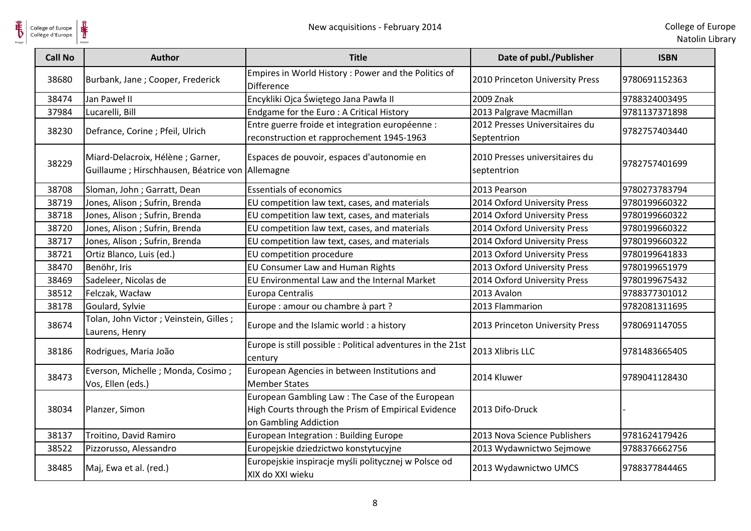

| <b>Call No</b> | <b>Author</b>                                                                         | <b>Title</b>                                                             | Date of publ./Publisher                       | <b>ISBN</b>   |
|----------------|---------------------------------------------------------------------------------------|--------------------------------------------------------------------------|-----------------------------------------------|---------------|
| 38680          | Burbank, Jane; Cooper, Frederick                                                      | Empires in World History: Power and the Politics of<br><b>Difference</b> | 2010 Princeton University Press               | 9780691152363 |
| 38474          | Jan Paweł II                                                                          | Encykliki Ojca Świętego Jana Pawła II                                    | 2009 Znak                                     | 9788324003495 |
| 37984          | Lucarelli, Bill                                                                       | Endgame for the Euro: A Critical History                                 | 2013 Palgrave Macmillan                       | 9781137371898 |
| 38230          | Defrance, Corine ; Pfeil, Ulrich                                                      | Entre guerre froide et integration européenne :                          | 2012 Presses Universitaires du                | 9782757403440 |
|                |                                                                                       | reconstruction et rapprochement 1945-1963                                | Septentrion                                   |               |
| 38229          | Miard-Delacroix, Hélène ; Garner,<br>Guillaume ; Hirschhausen, Béatrice von Allemagne | Espaces de pouvoir, espaces d'autonomie en                               | 2010 Presses universitaires du<br>septentrion | 9782757401699 |
| 38708          | Sloman, John; Garratt, Dean                                                           | <b>Essentials of economics</b>                                           | 2013 Pearson                                  | 9780273783794 |
| 38719          | Jones, Alison; Sufrin, Brenda                                                         | EU competition law text, cases, and materials                            | 2014 Oxford University Press                  | 9780199660322 |
| 38718          | Jones, Alison ; Sufrin, Brenda                                                        | EU competition law text, cases, and materials                            | 2014 Oxford University Press                  | 9780199660322 |
| 38720          | Jones, Alison ; Sufrin, Brenda                                                        | EU competition law text, cases, and materials                            | 2014 Oxford University Press                  | 9780199660322 |
| 38717          | Jones, Alison ; Sufrin, Brenda                                                        | EU competition law text, cases, and materials                            | 2014 Oxford University Press                  | 9780199660322 |
| 38721          | Ortiz Blanco, Luis (ed.)                                                              | EU competition procedure                                                 | 2013 Oxford University Press                  | 9780199641833 |
| 38470          | Benöhr, Iris                                                                          | EU Consumer Law and Human Rights                                         | 2013 Oxford University Press                  | 9780199651979 |
| 38469          | Sadeleer, Nicolas de                                                                  | EU Environmental Law and the Internal Market                             | 2014 Oxford University Press                  | 9780199675432 |
| 38512          | Felczak, Wacław                                                                       | Europa Centralis                                                         | 2013 Avalon                                   | 9788377301012 |
| 38178          | Goulard, Sylvie                                                                       | Europe : amour ou chambre à part ?                                       | 2013 Flammarion                               | 9782081311695 |
| 38674          | Tolan, John Victor; Veinstein, Gilles;<br>Laurens, Henry                              | Europe and the Islamic world : a history                                 | 2013 Princeton University Press               | 9780691147055 |
| 38186          | Rodrigues, Maria João                                                                 | Europe is still possible : Political adventures in the 21st<br>century   | 2013 Xlibris LLC                              | 9781483665405 |
| 38473          | Everson, Michelle ; Monda, Cosimo ;                                                   | European Agencies in between Institutions and                            | 2014 Kluwer                                   | 9789041128430 |
|                | Vos, Ellen (eds.)                                                                     | <b>Member States</b>                                                     |                                               |               |
|                |                                                                                       | European Gambling Law: The Case of the European                          |                                               |               |
| 38034          | Planzer, Simon                                                                        | High Courts through the Prism of Empirical Evidence                      | 2013 Difo-Druck                               |               |
|                |                                                                                       | on Gambling Addiction                                                    |                                               |               |
| 38137          | Troitino, David Ramiro                                                                | European Integration: Building Europe                                    | 2013 Nova Science Publishers                  | 9781624179426 |
| 38522          | Pizzorusso, Alessandro                                                                | Europejskie dziedzictwo konstytucyjne                                    | 2013 Wydawnictwo Sejmowe                      | 9788376662756 |
| 38485          | Maj, Ewa et al. (red.)                                                                | Europejskie inspiracje myśli politycznej w Polsce od                     | 2013 Wydawnictwo UMCS                         | 9788377844465 |
|                |                                                                                       | XIX do XXI wieku                                                         |                                               |               |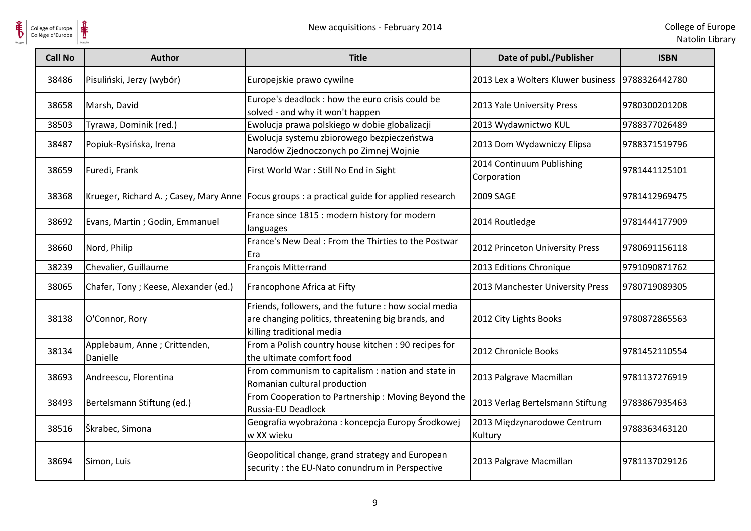

| <b>Call No</b> | <b>Author</b>                            | <b>Title</b>                                                                                                                             | Date of publ./Publisher                          | <b>ISBN</b>   |
|----------------|------------------------------------------|------------------------------------------------------------------------------------------------------------------------------------------|--------------------------------------------------|---------------|
| 38486          | Pisuliński, Jerzy (wybór)                | Europejskie prawo cywilne                                                                                                                | 2013 Lex a Wolters Kluwer business 9788326442780 |               |
| 38658          | Marsh, David                             | Europe's deadlock : how the euro crisis could be<br>solved - and why it won't happen                                                     | 2013 Yale University Press                       | 9780300201208 |
| 38503          | Tyrawa, Dominik (red.)                   | Ewolucja prawa polskiego w dobie globalizacji                                                                                            | 2013 Wydawnictwo KUL                             | 9788377026489 |
| 38487          | Popiuk-Rysińska, Irena                   | Ewolucja systemu zbiorowego bezpieczeństwa<br>Narodów Zjednoczonych po Zimnej Wojnie                                                     | 2013 Dom Wydawniczy Elipsa                       | 9788371519796 |
| 38659          | Furedi, Frank                            | First World War: Still No End in Sight                                                                                                   | 2014 Continuum Publishing<br>Corporation         | 9781441125101 |
| 38368          |                                          | Krueger, Richard A.; Casey, Mary Anne   Focus groups : a practical guide for applied research                                            | 2009 SAGE                                        | 9781412969475 |
| 38692          | Evans, Martin; Godin, Emmanuel           | France since 1815 : modern history for modern<br>languages                                                                               | 2014 Routledge                                   | 9781444177909 |
| 38660          | Nord, Philip                             | France's New Deal: From the Thirties to the Postwar<br>Era                                                                               | 2012 Princeton University Press                  | 9780691156118 |
| 38239          | Chevalier, Guillaume                     | François Mitterrand                                                                                                                      | 2013 Editions Chronique                          | 9791090871762 |
| 38065          | Chafer, Tony; Keese, Alexander (ed.)     | Francophone Africa at Fifty                                                                                                              | 2013 Manchester University Press                 | 9780719089305 |
| 38138          | O'Connor, Rory                           | Friends, followers, and the future : how social media<br>are changing politics, threatening big brands, and<br>killing traditional media | 2012 City Lights Books                           | 9780872865563 |
| 38134          | Applebaum, Anne; Crittenden,<br>Danielle | From a Polish country house kitchen: 90 recipes for<br>the ultimate comfort food                                                         | 2012 Chronicle Books                             | 9781452110554 |
| 38693          | Andreescu, Florentina                    | From communism to capitalism : nation and state in<br>Romanian cultural production                                                       | 2013 Palgrave Macmillan                          | 9781137276919 |
| 38493          | Bertelsmann Stiftung (ed.)               | From Cooperation to Partnership: Moving Beyond the<br>Russia-EU Deadlock                                                                 | 2013 Verlag Bertelsmann Stiftung                 | 9783867935463 |
| 38516          | Škrabec, Simona                          | Geografia wyobrażona: koncepcja Europy Środkowej<br>w XX wieku                                                                           | 2013 Międzynarodowe Centrum<br>Kultury           | 9788363463120 |
| 38694          | Simon, Luis                              | Geopolitical change, grand strategy and European<br>security : the EU-Nato conundrum in Perspective                                      | 2013 Palgrave Macmillan                          | 9781137029126 |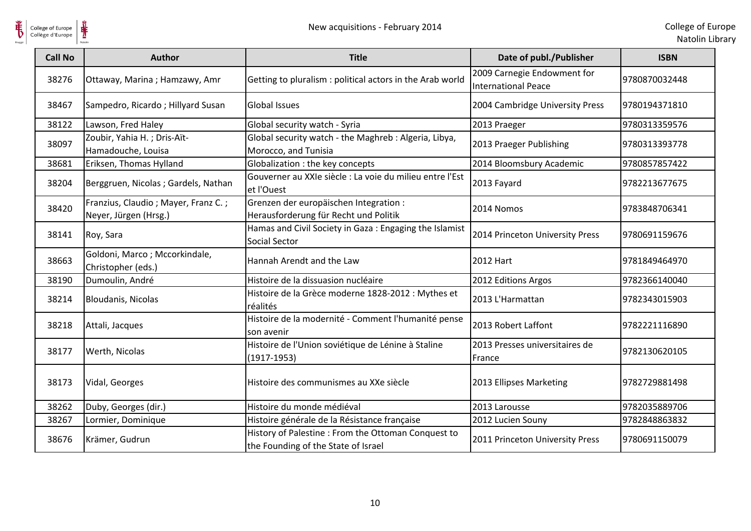

| <b>Call No</b> | <b>Author</b>                                                | <b>Title</b>                                                                              | Date of publ./Publisher                            | <b>ISBN</b>   |
|----------------|--------------------------------------------------------------|-------------------------------------------------------------------------------------------|----------------------------------------------------|---------------|
| 38276          | Ottaway, Marina; Hamzawy, Amr                                | Getting to pluralism : political actors in the Arab world                                 | 2009 Carnegie Endowment for<br>International Peace | 9780870032448 |
| 38467          | Sampedro, Ricardo; Hillyard Susan                            | <b>Global Issues</b>                                                                      | 2004 Cambridge University Press                    | 9780194371810 |
| 38122          | Lawson, Fred Haley                                           | Global security watch - Syria                                                             | 2013 Praeger                                       | 9780313359576 |
| 38097          | Zoubir, Yahia H.; Dris-Aït-<br>Hamadouche, Louisa            | Global security watch - the Maghreb : Algeria, Libya,<br>Morocco, and Tunisia             | 2013 Praeger Publishing                            | 9780313393778 |
| 38681          | Eriksen, Thomas Hylland                                      | Globalization : the key concepts                                                          | 2014 Bloomsbury Academic                           | 9780857857422 |
| 38204          | Berggruen, Nicolas; Gardels, Nathan                          | Gouverner au XXIe siècle : La voie du milieu entre l'Est<br>et l'Ouest                    | 2013 Fayard                                        | 9782213677675 |
| 38420          | Franzius, Claudio; Mayer, Franz C.;<br>Neyer, Jürgen (Hrsg.) | Grenzen der europäischen Integration :<br>Herausforderung für Recht und Politik           | 2014 Nomos                                         | 9783848706341 |
| 38141          | Roy, Sara                                                    | Hamas and Civil Society in Gaza: Engaging the Islamist<br><b>Social Sector</b>            | 2014 Princeton University Press                    | 9780691159676 |
| 38663          | Goldoni, Marco; Mccorkindale,<br>Christopher (eds.)          | Hannah Arendt and the Law                                                                 | <b>2012 Hart</b>                                   | 9781849464970 |
| 38190          | Dumoulin, André                                              | Histoire de la dissuasion nucléaire                                                       | 2012 Editions Argos                                | 9782366140040 |
| 38214          | Bloudanis, Nicolas                                           | Histoire de la Grèce moderne 1828-2012 : Mythes et<br>réalités                            | 2013 L'Harmattan                                   | 9782343015903 |
| 38218          | Attali, Jacques                                              | Histoire de la modernité - Comment l'humanité pense<br>son avenir                         | 2013 Robert Laffont                                | 9782221116890 |
| 38177          | Werth, Nicolas                                               | Histoire de l'Union soviétique de Lénine à Staline<br>$(1917-1953)$                       | 2013 Presses universitaires de<br>France           | 9782130620105 |
| 38173          | Vidal, Georges                                               | Histoire des communismes au XXe siècle                                                    | 2013 Ellipses Marketing                            | 9782729881498 |
| 38262          | Duby, Georges (dir.)                                         | Histoire du monde médiéval                                                                | 2013 Larousse                                      | 9782035889706 |
| 38267          | Lormier, Dominique                                           | Histoire générale de la Résistance française                                              | 2012 Lucien Souny                                  | 9782848863832 |
| 38676          | Krämer, Gudrun                                               | History of Palestine: From the Ottoman Conquest to<br>the Founding of the State of Israel | 2011 Princeton University Press                    | 9780691150079 |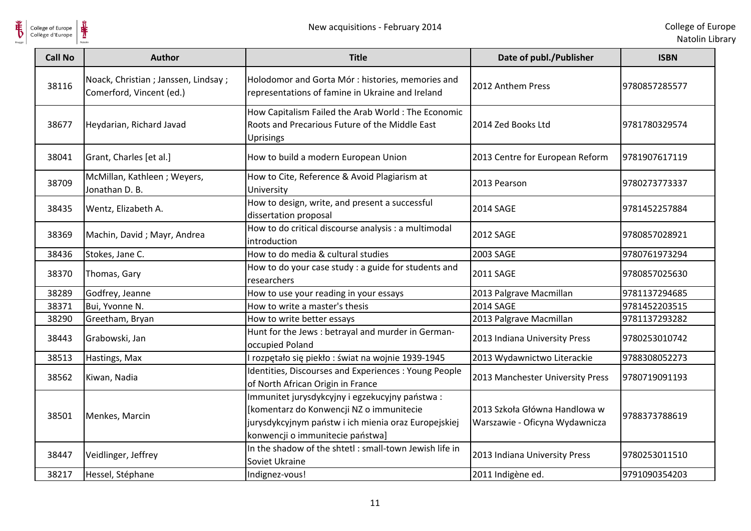

| <b>Call No</b> | <b>Author</b>                                                     | <b>Title</b>                                                                                                                                                                           | Date of publ./Publisher                                         | <b>ISBN</b>   |
|----------------|-------------------------------------------------------------------|----------------------------------------------------------------------------------------------------------------------------------------------------------------------------------------|-----------------------------------------------------------------|---------------|
| 38116          | Noack, Christian ; Janssen, Lindsay ;<br>Comerford, Vincent (ed.) | Holodomor and Gorta Mór : histories, memories and<br>representations of famine in Ukraine and Ireland                                                                                  | 2012 Anthem Press                                               | 9780857285577 |
| 38677          | Heydarian, Richard Javad                                          | How Capitalism Failed the Arab World: The Economic<br>Roots and Precarious Future of the Middle East<br><b>Uprisings</b>                                                               | 2014 Zed Books Ltd                                              | 9781780329574 |
| 38041          | Grant, Charles [et al.]                                           | How to build a modern European Union                                                                                                                                                   | 2013 Centre for European Reform                                 | 9781907617119 |
| 38709          | McMillan, Kathleen; Weyers,<br>Jonathan D. B.                     | How to Cite, Reference & Avoid Plagiarism at<br>University                                                                                                                             | 2013 Pearson                                                    | 9780273773337 |
| 38435          | Wentz, Elizabeth A.                                               | How to design, write, and present a successful<br>dissertation proposal                                                                                                                | 2014 SAGE                                                       | 9781452257884 |
| 38369          | Machin, David; Mayr, Andrea                                       | How to do critical discourse analysis : a multimodal<br>introduction                                                                                                                   | <b>2012 SAGE</b>                                                | 9780857028921 |
| 38436          | Stokes, Jane C.                                                   | How to do media & cultural studies                                                                                                                                                     | 2003 SAGE                                                       | 9780761973294 |
| 38370          | Thomas, Gary                                                      | How to do your case study : a guide for students and<br>researchers                                                                                                                    | <b>2011 SAGE</b>                                                | 9780857025630 |
| 38289          | Godfrey, Jeanne                                                   | How to use your reading in your essays                                                                                                                                                 | 2013 Palgrave Macmillan                                         | 9781137294685 |
| 38371          | Bui, Yvonne N.                                                    | How to write a master's thesis                                                                                                                                                         | <b>2014 SAGE</b>                                                | 9781452203515 |
| 38290          | Greetham, Bryan                                                   | How to write better essays                                                                                                                                                             | 2013 Palgrave Macmillan                                         | 9781137293282 |
| 38443          | Grabowski, Jan                                                    | Hunt for the Jews : betrayal and murder in German-<br>occupied Poland                                                                                                                  | 2013 Indiana University Press                                   | 9780253010742 |
| 38513          | Hastings, Max                                                     | rozpętało się piekło: świat na wojnie 1939-1945                                                                                                                                        | 2013 Wydawnictwo Literackie                                     | 9788308052273 |
| 38562          | Kiwan, Nadia                                                      | Identities, Discourses and Experiences : Young People<br>of North African Origin in France                                                                                             | 2013 Manchester University Press                                | 9780719091193 |
| 38501          | Menkes, Marcin                                                    | Immunitet jurysdykcyjny i egzekucyjny państwa:<br>[komentarz do Konwencji NZ o immunitecie<br>jurysdykcyjnym państw i ich mienia oraz Europejskiej<br>konwencji o immunitecie państwa] | 2013 Szkoła Główna Handlowa w<br>Warszawie - Oficyna Wydawnicza | 9788373788619 |
| 38447          | Veidlinger, Jeffrey                                               | In the shadow of the shtetl: small-town Jewish life in<br>Soviet Ukraine                                                                                                               | 2013 Indiana University Press                                   | 9780253011510 |
| 38217          | Hessel, Stéphane                                                  | Indignez-vous!                                                                                                                                                                         | 2011 Indigène ed.                                               | 9791090354203 |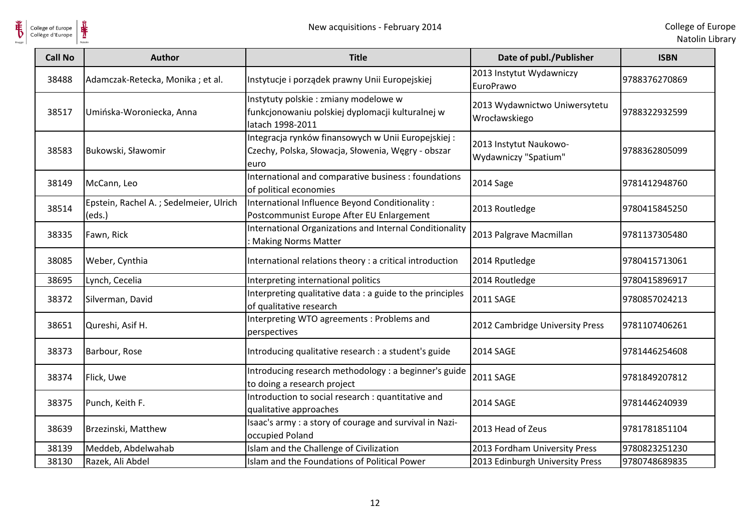

| <b>Call No</b> | <b>Author</b>                                    | <b>Title</b>                                                                                                     | Date of publ./Publisher                        | <b>ISBN</b>   |
|----------------|--------------------------------------------------|------------------------------------------------------------------------------------------------------------------|------------------------------------------------|---------------|
| 38488          | Adamczak-Retecka, Monika; et al.                 | Instytucje i porządek prawny Unii Europejskiej                                                                   | 2013 Instytut Wydawniczy<br>EuroPrawo          | 9788376270869 |
| 38517          | Umińska-Woroniecka, Anna                         | Instytuty polskie : zmiany modelowe w<br>funkcjonowaniu polskiej dyplomacji kulturalnej w<br>latach 1998-2011    | 2013 Wydawnictwo Uniwersytetu<br>Wrocławskiego | 9788322932599 |
| 38583          | Bukowski, Sławomir                               | Integracja rynków finansowych w Unii Europejskiej:<br>Czechy, Polska, Słowacja, Słowenia, Węgry - obszar<br>euro | 2013 Instytut Naukowo-<br>Wydawniczy "Spatium" | 9788362805099 |
| 38149          | McCann, Leo                                      | International and comparative business : foundations<br>of political economies                                   | 2014 Sage                                      | 9781412948760 |
| 38514          | Epstein, Rachel A.; Sedelmeier, Ulrich<br>(eds.) | International Influence Beyond Conditionality:<br>Postcommunist Europe After EU Enlargement                      | 2013 Routledge                                 | 9780415845250 |
| 38335          | Fawn, Rick                                       | International Organizations and Internal Conditionality<br>: Making Norms Matter                                 | 2013 Palgrave Macmillan                        | 9781137305480 |
| 38085          | Weber, Cynthia                                   | International relations theory : a critical introduction                                                         | 2014 Rputledge                                 | 9780415713061 |
| 38695          | Lynch, Cecelia                                   | Interpreting international politics                                                                              | 2014 Routledge                                 | 9780415896917 |
| 38372          | Silverman, David                                 | Interpreting qualitative data : a guide to the principles<br>of qualitative research                             | 2011 SAGE                                      | 9780857024213 |
| 38651          | Qureshi, Asif H.                                 | Interpreting WTO agreements : Problems and<br>perspectives                                                       | 2012 Cambridge University Press                | 9781107406261 |
| 38373          | Barbour, Rose                                    | Introducing qualitative research : a student's guide                                                             | 2014 SAGE                                      | 9781446254608 |
| 38374          | Flick, Uwe                                       | Introducing research methodology : a beginner's guide<br>to doing a research project                             | <b>2011 SAGE</b>                               | 9781849207812 |
| 38375          | Punch, Keith F.                                  | Introduction to social research : quantitative and<br>qualitative approaches                                     | 2014 SAGE                                      | 9781446240939 |
| 38639          | Brzezinski, Matthew                              | Isaac's army : a story of courage and survival in Nazi-<br>occupied Poland                                       | 2013 Head of Zeus                              | 9781781851104 |
| 38139          | Meddeb, Abdelwahab                               | Islam and the Challenge of Civilization                                                                          | 2013 Fordham University Press                  | 9780823251230 |
| 38130          | Razek, Ali Abdel                                 | Islam and the Foundations of Political Power                                                                     | 2013 Edinburgh University Press                | 9780748689835 |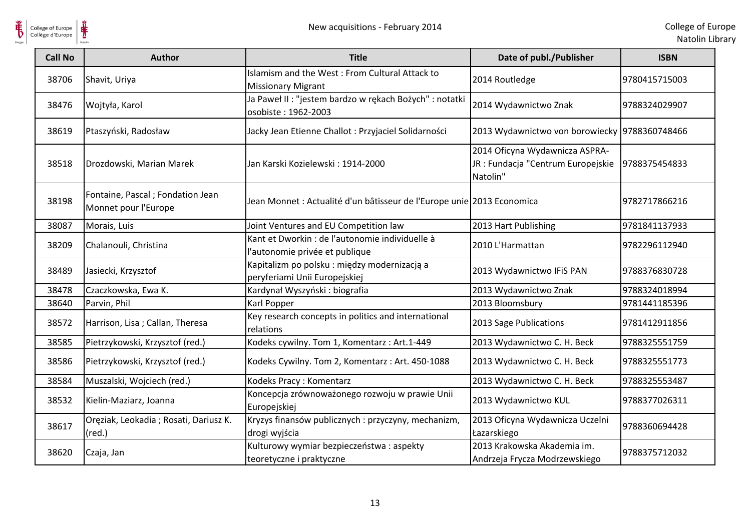

| <b>Call No</b> | Author                                                    | <b>Title</b>                                                                      | Date of publ./Publisher                                                          | <b>ISBN</b>   |
|----------------|-----------------------------------------------------------|-----------------------------------------------------------------------------------|----------------------------------------------------------------------------------|---------------|
| 38706          | Shavit, Uriya                                             | Islamism and the West: From Cultural Attack to<br><b>Missionary Migrant</b>       | 2014 Routledge                                                                   | 9780415715003 |
| 38476          | Wojtyła, Karol                                            | Ja Paweł II : "jestem bardzo w rękach Bożych" : notatki<br>osobiste: 1962-2003    | 2014 Wydawnictwo Znak                                                            | 9788324029907 |
| 38619          | Ptaszyński, Radosław                                      | Jacky Jean Etienne Challot : Przyjaciel Solidarności                              | 2013 Wydawnictwo von borowiecky 9788360748466                                    |               |
| 38518          | Drozdowski, Marian Marek                                  | Jan Karski Kozielewski: 1914-2000                                                 | 2014 Oficyna Wydawnicza ASPRA-<br>JR : Fundacja "Centrum Europejskie<br>Natolin" | 9788375454833 |
| 38198          | Fontaine, Pascal ; Fondation Jean<br>Monnet pour l'Europe | Jean Monnet : Actualité d'un bâtisseur de l'Europe unie 2013 Economica            |                                                                                  | 9782717866216 |
| 38087          | Morais, Luis                                              | Joint Ventures and EU Competition law                                             | 2013 Hart Publishing                                                             | 9781841137933 |
| 38209          | Chalanouli, Christina                                     | Kant et Dworkin : de l'autonomie individuelle à<br>l'autonomie privée et publique | 2010 L'Harmattan                                                                 | 9782296112940 |
| 38489          | Jasiecki, Krzysztof                                       | Kapitalizm po polsku: między modernizacją a<br>peryferiami Unii Europejskiej      | 2013 Wydawnictwo IFiS PAN                                                        | 9788376830728 |
| 38478          | Czaczkowska, Ewa K.                                       | Kardynał Wyszyński: biografia                                                     | 2013 Wydawnictwo Znak                                                            | 9788324018994 |
| 38640          | Parvin, Phil                                              | Karl Popper                                                                       | 2013 Bloomsbury                                                                  | 9781441185396 |
| 38572          | Harrison, Lisa; Callan, Theresa                           | Key research concepts in politics and international<br>relations                  | 2013 Sage Publications                                                           | 9781412911856 |
| 38585          | Pietrzykowski, Krzysztof (red.)                           | Kodeks cywilny. Tom 1, Komentarz: Art.1-449                                       | 2013 Wydawnictwo C. H. Beck                                                      | 9788325551759 |
| 38586          | Pietrzykowski, Krzysztof (red.)                           | Kodeks Cywilny. Tom 2, Komentarz: Art. 450-1088                                   | 2013 Wydawnictwo C. H. Beck                                                      | 9788325551773 |
| 38584          | Muszalski, Wojciech (red.)                                | Kodeks Pracy: Komentarz                                                           | 2013 Wydawnictwo C. H. Beck                                                      | 9788325553487 |
| 38532          | Kielin-Maziarz, Joanna                                    | Koncepcja zrównoważonego rozwoju w prawie Unii<br>Europejskiej                    | 2013 Wydawnictwo KUL                                                             | 9788377026311 |
| 38617          | Oręziak, Leokadia; Rosati, Dariusz K.<br>$(\text{red.})$  | Kryzys finansów publicznych: przyczyny, mechanizm,<br>drogi wyjścia               | 2013 Oficyna Wydawnicza Uczelni<br>Łazarskiego                                   | 9788360694428 |
| 38620          | Czaja, Jan                                                | Kulturowy wymiar bezpieczeństwa : aspekty<br>teoretyczne i praktyczne             | 2013 Krakowska Akademia im.<br>Andrzeja Frycza Modrzewskiego                     | 9788375712032 |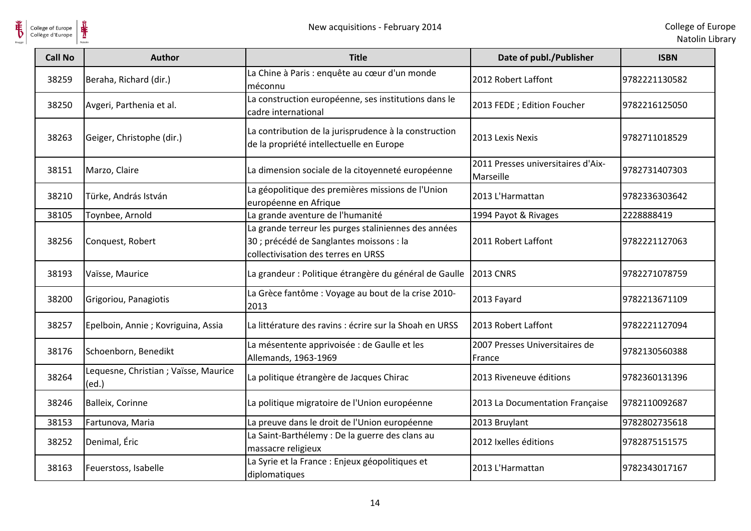

| <b>Call No</b> | <b>Author</b>                                 | <b>Title</b>                                                                                                                            | Date of publ./Publisher                         | <b>ISBN</b>   |
|----------------|-----------------------------------------------|-----------------------------------------------------------------------------------------------------------------------------------------|-------------------------------------------------|---------------|
| 38259          | Beraha, Richard (dir.)                        | La Chine à Paris : enquête au cœur d'un monde<br>méconnu                                                                                | 2012 Robert Laffont                             | 9782221130582 |
| 38250          | Avgeri, Parthenia et al.                      | La construction européenne, ses institutions dans le<br>cadre international                                                             | 2013 FEDE ; Edition Foucher                     | 9782216125050 |
| 38263          | Geiger, Christophe (dir.)                     | La contribution de la jurisprudence à la construction<br>de la propriété intellectuelle en Europe                                       | 2013 Lexis Nexis                                | 9782711018529 |
| 38151          | Marzo, Claire                                 | La dimension sociale de la citoyenneté européenne                                                                                       | 2011 Presses universitaires d'Aix-<br>Marseille | 9782731407303 |
| 38210          | Türke, András István                          | La géopolitique des premières missions de l'Union<br>européenne en Afrique                                                              | 2013 L'Harmattan                                | 9782336303642 |
| 38105          | Toynbee, Arnold                               | La grande aventure de l'humanité                                                                                                        | 1994 Payot & Rivages                            | 2228888419    |
| 38256          | Conquest, Robert                              | La grande terreur les purges staliniennes des années<br>30 ; précédé de Sanglantes moissons : la<br>collectivisation des terres en URSS | 2011 Robert Laffont                             | 9782221127063 |
| 38193          | Vaïsse, Maurice                               | La grandeur : Politique étrangère du général de Gaulle                                                                                  | <b>2013 CNRS</b>                                | 9782271078759 |
| 38200          | Grigoriou, Panagiotis                         | La Grèce fantôme : Voyage au bout de la crise 2010-<br>2013                                                                             | 2013 Fayard                                     | 9782213671109 |
| 38257          | Epelboin, Annie ; Kovriguina, Assia           | La littérature des ravins : écrire sur la Shoah en URSS                                                                                 | 2013 Robert Laffont                             | 9782221127094 |
| 38176          | Schoenborn, Benedikt                          | La mésentente apprivoisée : de Gaulle et les<br>Allemands, 1963-1969                                                                    | 2007 Presses Universitaires de<br>France        | 9782130560388 |
| 38264          | Lequesne, Christian; Vaïsse, Maurice<br>(ed.) | La politique étrangère de Jacques Chirac                                                                                                | 2013 Riveneuve éditions                         | 9782360131396 |
| 38246          | Balleix, Corinne                              | La politique migratoire de l'Union européenne                                                                                           | 2013 La Documentation Française                 | 9782110092687 |
| 38153          | Fartunova, Maria                              | La preuve dans le droit de l'Union européenne                                                                                           | 2013 Bruylant                                   | 9782802735618 |
| 38252          | Denimal, Éric                                 | La Saint-Barthélemy : De la guerre des clans au<br>massacre religieux                                                                   | 2012 Ixelles éditions                           | 9782875151575 |
| 38163          | Feuerstoss, Isabelle                          | La Syrie et la France : Enjeux géopolitiques et<br>diplomatiques                                                                        | 2013 L'Harmattan                                | 9782343017167 |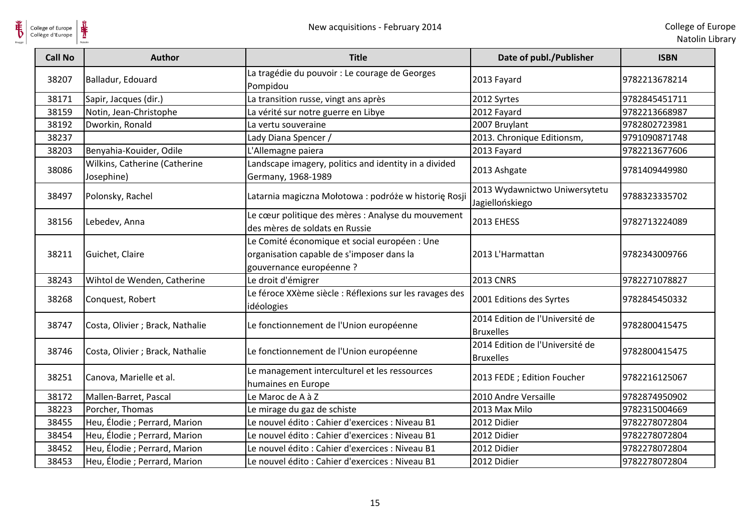| <b>Call No</b> | Author                                      | <b>Title</b>                                                                                                           | Date of publ./Publisher                             | <b>ISBN</b>   |
|----------------|---------------------------------------------|------------------------------------------------------------------------------------------------------------------------|-----------------------------------------------------|---------------|
| 38207          | Balladur, Edouard                           | La tragédie du pouvoir : Le courage de Georges<br>Pompidou                                                             | 2013 Fayard                                         | 9782213678214 |
| 38171          | Sapir, Jacques (dir.)                       | La transition russe, vingt ans après                                                                                   | 2012 Syrtes                                         | 9782845451711 |
| 38159          | Notin, Jean-Christophe                      | La vérité sur notre guerre en Libye                                                                                    | 2012 Fayard                                         | 9782213668987 |
| 38192          | Dworkin, Ronald                             | La vertu souveraine                                                                                                    | 2007 Bruylant                                       | 9782802723981 |
| 38237          |                                             | Lady Diana Spencer /                                                                                                   | 2013. Chronique Editionsm,                          | 9791090871748 |
| 38203          | Benyahia-Kouider, Odile                     | L'Allemagne paiera                                                                                                     | 2013 Fayard                                         | 9782213677606 |
| 38086          | Wilkins, Catherine (Catherine<br>Josephine) | Landscape imagery, politics and identity in a divided<br>Germany, 1968-1989                                            | 2013 Ashgate                                        | 9781409449980 |
| 38497          | Polonsky, Rachel                            | Latarnia magiczna Mołotowa: podróże w historię Rosji                                                                   | 2013 Wydawnictwo Uniwersytetu<br>Jagiellońskiego    | 9788323335702 |
| 38156          | Lebedev, Anna                               | Le cœur politique des mères : Analyse du mouvement<br>des mères de soldats en Russie                                   | <b>2013 EHESS</b>                                   | 9782713224089 |
| 38211          | Guichet, Claire                             | Le Comité économique et social européen : Une<br>organisation capable de s'imposer dans la<br>gouvernance européenne ? | 2013 L'Harmattan                                    | 9782343009766 |
| 38243          | Wihtol de Wenden, Catherine                 | Le droit d'émigrer                                                                                                     | <b>2013 CNRS</b>                                    | 9782271078827 |
| 38268          | Conquest, Robert                            | Le féroce XXème siècle : Réflexions sur les ravages des<br>idéologies                                                  | 2001 Editions des Syrtes                            | 9782845450332 |
| 38747          | Costa, Olivier ; Brack, Nathalie            | Le fonctionnement de l'Union européenne                                                                                | 2014 Edition de l'Université de<br><b>Bruxelles</b> | 9782800415475 |
| 38746          | Costa, Olivier ; Brack, Nathalie            | Le fonctionnement de l'Union européenne                                                                                | 2014 Edition de l'Université de<br><b>Bruxelles</b> | 9782800415475 |
| 38251          | Canova, Marielle et al.                     | Le management interculturel et les ressources<br>humaines en Europe                                                    | 2013 FEDE ; Edition Foucher                         | 9782216125067 |
| 38172          | Mallen-Barret, Pascal                       | Le Maroc de A à Z                                                                                                      | 2010 Andre Versaille                                | 9782874950902 |
| 38223          | Porcher, Thomas                             | Le mirage du gaz de schiste                                                                                            | 2013 Max Milo                                       | 9782315004669 |
| 38455          | Heu, Élodie ; Perrard, Marion               | Le nouvel édito : Cahier d'exercices : Niveau B1                                                                       | 2012 Didier                                         | 9782278072804 |
| 38454          | Heu, Élodie ; Perrard, Marion               | Le nouvel édito : Cahier d'exercices : Niveau B1                                                                       | 2012 Didier                                         | 9782278072804 |
| 38452          | Heu, Élodie ; Perrard, Marion               | Le nouvel édito : Cahier d'exercices : Niveau B1                                                                       | 2012 Didier                                         | 9782278072804 |
| 38453          | Heu, Élodie ; Perrard, Marion               | Le nouvel édito : Cahier d'exercices : Niveau B1                                                                       | 2012 Didier                                         | 9782278072804 |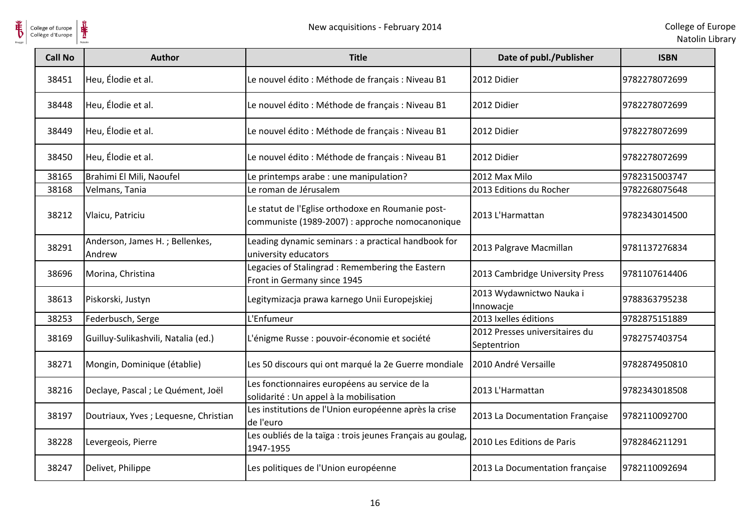

| <b>Call No</b> | <b>Author</b>                            | <b>Title</b>                                                                                         | Date of publ./Publisher                       | <b>ISBN</b>   |
|----------------|------------------------------------------|------------------------------------------------------------------------------------------------------|-----------------------------------------------|---------------|
| 38451          | Heu, Élodie et al.                       | Le nouvel édito : Méthode de français : Niveau B1                                                    | 2012 Didier                                   | 9782278072699 |
| 38448          | Heu, Élodie et al.                       | Le nouvel édito : Méthode de français : Niveau B1                                                    | 2012 Didier                                   | 9782278072699 |
| 38449          | Heu, Élodie et al.                       | Le nouvel édito : Méthode de français : Niveau B1                                                    | 2012 Didier                                   | 9782278072699 |
| 38450          | Heu, Élodie et al.                       | Le nouvel édito : Méthode de français : Niveau B1                                                    | 2012 Didier                                   | 9782278072699 |
| 38165          | Brahimi El Mili, Naoufel                 | Le printemps arabe : une manipulation?                                                               | 2012 Max Milo                                 | 9782315003747 |
| 38168          | Velmans, Tania                           | Le roman de Jérusalem                                                                                | 2013 Editions du Rocher                       | 9782268075648 |
| 38212          | Vlaicu, Patriciu                         | Le statut de l'Eglise orthodoxe en Roumanie post-<br>communiste (1989-2007) : approche nomocanonique | 2013 L'Harmattan                              | 9782343014500 |
| 38291          | Anderson, James H.; Bellenkes,<br>Andrew | Leading dynamic seminars : a practical handbook for<br>university educators                          | 2013 Palgrave Macmillan                       | 9781137276834 |
| 38696          | Morina, Christina                        | Legacies of Stalingrad: Remembering the Eastern<br>Front in Germany since 1945                       | 2013 Cambridge University Press               | 9781107614406 |
| 38613          | Piskorski, Justyn                        | Legitymizacja prawa karnego Unii Europejskiej                                                        | 2013 Wydawnictwo Nauka i<br>Innowacje         | 9788363795238 |
| 38253          | Federbusch, Serge                        | L'Enfumeur                                                                                           | 2013 Ixelles éditions                         | 9782875151889 |
| 38169          | Guilluy-Sulikashvili, Natalia (ed.)      | L'énigme Russe : pouvoir-économie et société                                                         | 2012 Presses universitaires du<br>Septentrion | 9782757403754 |
| 38271          | Mongin, Dominique (établie)              | Les 50 discours qui ont marqué la 2e Guerre mondiale                                                 | 2010 André Versaille                          | 9782874950810 |
| 38216          | Declaye, Pascal ; Le Quément, Joël       | Les fonctionnaires européens au service de la<br>solidarité : Un appel à la mobilisation             | 2013 L'Harmattan                              | 9782343018508 |
| 38197          | Doutriaux, Yves; Lequesne, Christian     | Les institutions de l'Union européenne après la crise<br>de l'euro                                   | 2013 La Documentation Française               | 9782110092700 |
| 38228          | Levergeois, Pierre                       | Les oubliés de la taïga : trois jeunes Français au goulag,<br>1947-1955                              | 2010 Les Editions de Paris                    | 9782846211291 |
| 38247          | Delivet, Philippe                        | Les politiques de l'Union européenne                                                                 | 2013 La Documentation française               | 9782110092694 |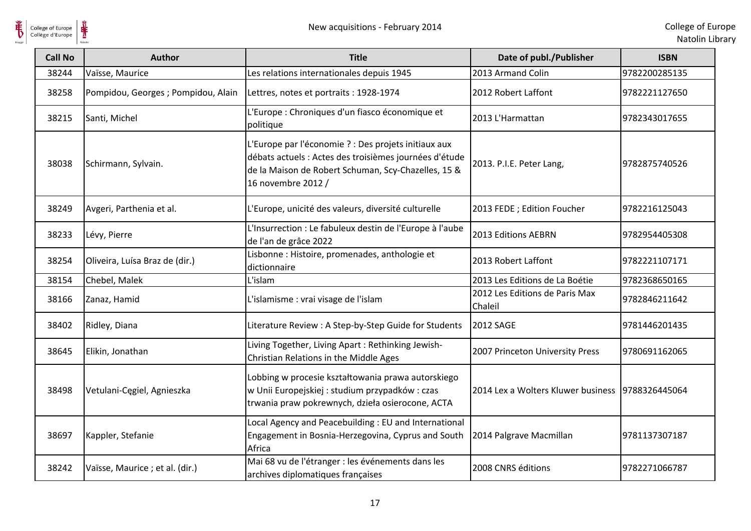



| <b>Call No</b> | <b>Author</b>                       | <b>Title</b>                                                                                                                                                                                | Date of publ./Publisher                            | <b>ISBN</b>   |
|----------------|-------------------------------------|---------------------------------------------------------------------------------------------------------------------------------------------------------------------------------------------|----------------------------------------------------|---------------|
| 38244          | Vaïsse, Maurice                     | Les relations internationales depuis 1945                                                                                                                                                   | 2013 Armand Colin                                  | 9782200285135 |
| 38258          | Pompidou, Georges ; Pompidou, Alain | Lettres, notes et portraits : 1928-1974                                                                                                                                                     | 2012 Robert Laffont                                | 9782221127650 |
| 38215          | Santi, Michel                       | L'Europe : Chroniques d'un fiasco économique et<br>politique                                                                                                                                | 2013 L'Harmattan                                   | 9782343017655 |
| 38038          | Schirmann, Sylvain.                 | L'Europe par l'économie ? : Des projets initiaux aux<br>débats actuels : Actes des troisièmes journées d'étude<br>de la Maison de Robert Schuman, Scy-Chazelles, 15 &<br>16 novembre 2012 / | 2013. P.I.E. Peter Lang,                           | 9782875740526 |
| 38249          | Avgeri, Parthenia et al.            | L'Europe, unicité des valeurs, diversité culturelle                                                                                                                                         | 2013 FEDE ; Edition Foucher                        | 9782216125043 |
| 38233          | Lévy, Pierre                        | L'Insurrection : Le fabuleux destin de l'Europe à l'aube<br>de l'an de grâce 2022                                                                                                           | 2013 Editions AEBRN                                | 9782954405308 |
| 38254          | Oliveira, Luísa Braz de (dir.)      | Lisbonne : Histoire, promenades, anthologie et<br>dictionnaire                                                                                                                              | 2013 Robert Laffont                                | 9782221107171 |
| 38154          | Chebel, Malek                       | L'islam                                                                                                                                                                                     | 2013 Les Editions de La Boétie                     | 9782368650165 |
| 38166          | Zanaz, Hamid                        | L'islamisme : vrai visage de l'islam                                                                                                                                                        | 2012 Les Editions de Paris Max<br>Chaleil          | 9782846211642 |
| 38402          | Ridley, Diana                       | Literature Review : A Step-by-Step Guide for Students                                                                                                                                       | <b>2012 SAGE</b>                                   | 9781446201435 |
| 38645          | Elikin, Jonathan                    | Living Together, Living Apart: Rethinking Jewish-<br>Christian Relations in the Middle Ages                                                                                                 | 2007 Princeton University Press                    | 9780691162065 |
| 38498          | Vetulani-Cegiel, Agnieszka          | Lobbing w procesie kształtowania prawa autorskiego<br>w Unii Europejskiej: studium przypadków: czas<br>trwania praw pokrewnych, dzieła osierocone, ACTA                                     | 2014 Lex a Wolters Kluwer business   9788326445064 |               |
| 38697          | Kappler, Stefanie                   | Local Agency and Peacebuilding: EU and International<br>Engagement in Bosnia-Herzegovina, Cyprus and South<br>Africa                                                                        | 2014 Palgrave Macmillan                            | 9781137307187 |
| 38242          | Vaïsse, Maurice ; et al. (dir.)     | Mai 68 vu de l'étranger : les événements dans les<br>archives diplomatiques françaises                                                                                                      | 2008 CNRS éditions                                 | 9782271066787 |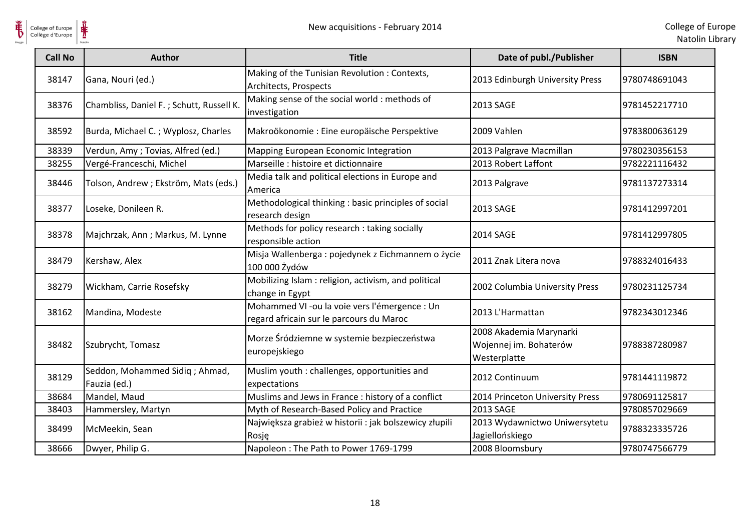

| <b>Call No</b> | <b>Author</b>                                  | <b>Title</b>                                                                              | Date of publ./Publisher                                           | <b>ISBN</b>   |
|----------------|------------------------------------------------|-------------------------------------------------------------------------------------------|-------------------------------------------------------------------|---------------|
| 38147          | Gana, Nouri (ed.)                              | Making of the Tunisian Revolution: Contexts,<br>Architects, Prospects                     | 2013 Edinburgh University Press                                   | 9780748691043 |
| 38376          | Chambliss, Daniel F.; Schutt, Russell K.       | Making sense of the social world : methods of<br>investigation                            | 2013 SAGE                                                         | 9781452217710 |
| 38592          | Burda, Michael C.; Wyplosz, Charles            | Makroökonomie : Eine europäische Perspektive                                              | 2009 Vahlen                                                       | 9783800636129 |
| 38339          | Verdun, Amy; Tovias, Alfred (ed.)              | Mapping European Economic Integration                                                     | 2013 Palgrave Macmillan                                           | 9780230356153 |
| 38255          | Vergé-Franceschi, Michel                       | Marseille : histoire et dictionnaire                                                      | 2013 Robert Laffont                                               | 9782221116432 |
| 38446          | Tolson, Andrew; Ekström, Mats (eds.)           | Media talk and political elections in Europe and<br>America                               | 2013 Palgrave                                                     | 9781137273314 |
| 38377          | Loseke, Donileen R.                            | Methodological thinking : basic principles of social<br>research design                   | 2013 SAGE                                                         | 9781412997201 |
| 38378          | Majchrzak, Ann; Markus, M. Lynne               | Methods for policy research: taking socially<br>responsible action                        | 2014 SAGE                                                         | 9781412997805 |
| 38479          | Kershaw, Alex                                  | Misja Wallenberga : pojedynek z Eichmannem o życie<br>100 000 Żydów                       | 2011 Znak Litera nova                                             | 9788324016433 |
| 38279          | Wickham, Carrie Rosefsky                       | Mobilizing Islam: religion, activism, and political<br>change in Egypt                    | 2002 Columbia University Press                                    | 9780231125734 |
| 38162          | Mandina, Modeste                               | Mohammed VI -ou la voie vers l'émergence : Un<br>regard africain sur le parcours du Maroc | 2013 L'Harmattan                                                  | 9782343012346 |
| 38482          | Szubrycht, Tomasz                              | Morze Śródziemne w systemie bezpieczeństwa<br>europejskiego                               | 2008 Akademia Marynarki<br>Wojennej im. Bohaterów<br>Westerplatte | 9788387280987 |
| 38129          | Seddon, Mohammed Sidiq; Ahmad,<br>Fauzia (ed.) | Muslim youth : challenges, opportunities and<br>expectations                              | 2012 Continuum                                                    | 9781441119872 |
| 38684          | Mandel, Maud                                   | Muslims and Jews in France : history of a conflict                                        | 2014 Princeton University Press                                   | 9780691125817 |
| 38403          | Hammersley, Martyn                             | Myth of Research-Based Policy and Practice                                                | 2013 SAGE                                                         | 9780857029669 |
| 38499          | McMeekin, Sean                                 | Największa grabież w historii : jak bolszewicy złupili<br>Rosje                           | 2013 Wydawnictwo Uniwersytetu<br>Jagiellońskiego                  | 9788323335726 |
| 38666          | Dwyer, Philip G.                               | Napoleon: The Path to Power 1769-1799                                                     | 2008 Bloomsbury                                                   | 9780747566779 |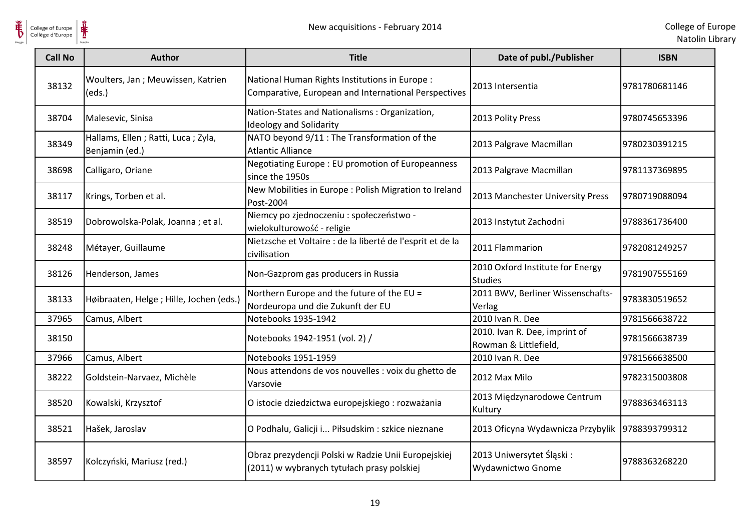

| <b>Call No</b> | <b>Author</b>                                          | <b>Title</b>                                                                                           | Date of publ./Publisher                                | <b>ISBN</b>   |
|----------------|--------------------------------------------------------|--------------------------------------------------------------------------------------------------------|--------------------------------------------------------|---------------|
| 38132          | Woulters, Jan; Meuwissen, Katrien<br>(eds.)            | National Human Rights Institutions in Europe :<br>Comparative, European and International Perspectives | 2013 Intersentia                                       | 9781780681146 |
| 38704          | Malesevic, Sinisa                                      | Nation-States and Nationalisms: Organization,<br><b>Ideology and Solidarity</b>                        | 2013 Polity Press                                      | 9780745653396 |
| 38349          | Hallams, Ellen ; Ratti, Luca ; Zyla,<br>Benjamin (ed.) | NATO beyond 9/11 : The Transformation of the<br><b>Atlantic Alliance</b>                               | 2013 Palgrave Macmillan                                | 9780230391215 |
| 38698          | Calligaro, Oriane                                      | Negotiating Europe: EU promotion of Europeanness<br>since the 1950s                                    | 2013 Palgrave Macmillan                                | 9781137369895 |
| 38117          | Krings, Torben et al.                                  | New Mobilities in Europe : Polish Migration to Ireland<br>Post-2004                                    | 2013 Manchester University Press                       | 9780719088094 |
| 38519          | Dobrowolska-Polak, Joanna; et al.                      | Niemcy po zjednoczeniu : społeczeństwo -<br>wielokulturowość - religie                                 | 2013 Instytut Zachodni                                 | 9788361736400 |
| 38248          | Métayer, Guillaume                                     | Nietzsche et Voltaire : de la liberté de l'esprit et de la<br>civilisation                             | 2011 Flammarion                                        | 9782081249257 |
| 38126          | Henderson, James                                       | Non-Gazprom gas producers in Russia                                                                    | 2010 Oxford Institute for Energy<br><b>Studies</b>     | 9781907555169 |
| 38133          | Høibraaten, Helge ; Hille, Jochen (eds.)               | Northern Europe and the future of the EU =<br>Nordeuropa und die Zukunft der EU                        | 2011 BWV, Berliner Wissenschafts-<br>Verlag            | 9783830519652 |
| 37965          | Camus, Albert                                          | Notebooks 1935-1942                                                                                    | 2010 Ivan R. Dee                                       | 9781566638722 |
| 38150          |                                                        | Notebooks 1942-1951 (vol. 2) /                                                                         | 2010. Ivan R. Dee, imprint of<br>Rowman & Littlefield, | 9781566638739 |
| 37966          | Camus, Albert                                          | Notebooks 1951-1959                                                                                    | 2010 Ivan R. Dee                                       | 9781566638500 |
| 38222          | Goldstein-Narvaez, Michèle                             | Nous attendons de vos nouvelles : voix du ghetto de<br>Varsovie                                        | 2012 Max Milo                                          | 9782315003808 |
| 38520          | Kowalski, Krzysztof                                    | O istocie dziedzictwa europejskiego : rozważania                                                       | 2013 Międzynarodowe Centrum<br>Kultury                 | 9788363463113 |
| 38521          | Hašek, Jaroslav                                        | O Podhalu, Galicji i Piłsudskim : szkice nieznane                                                      | 2013 Oficyna Wydawnicza Przybylik                      | 9788393799312 |
| 38597          | Kolczyński, Mariusz (red.)                             | Obraz prezydencji Polski w Radzie Unii Europejskiej<br>(2011) w wybranych tytułach prasy polskiej      | 2013 Uniwersytet Śląski:<br>Wydawnictwo Gnome          | 9788363268220 |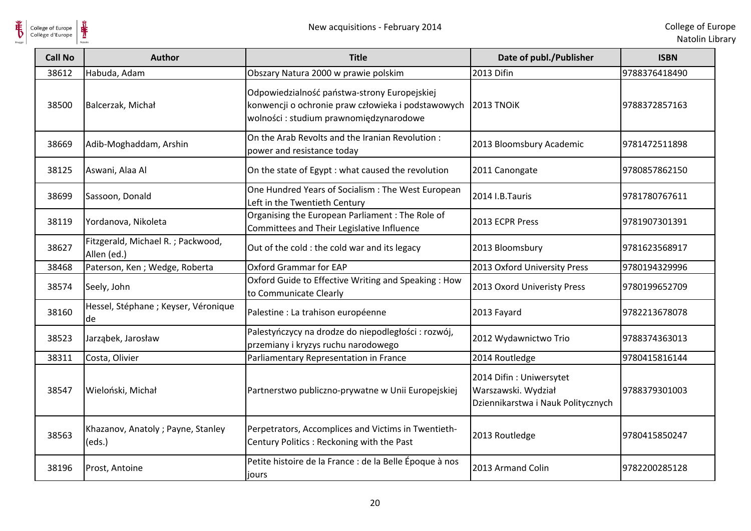

| <b>Call No</b> | <b>Author</b>                                    | <b>Title</b>                                                                                                                                  | Date of publ./Publisher                                                              | <b>ISBN</b>   |
|----------------|--------------------------------------------------|-----------------------------------------------------------------------------------------------------------------------------------------------|--------------------------------------------------------------------------------------|---------------|
| 38612          | Habuda, Adam                                     | Obszary Natura 2000 w prawie polskim                                                                                                          | 2013 Difin                                                                           | 9788376418490 |
| 38500          | Balcerzak, Michał                                | Odpowiedzialność państwa-strony Europejskiej<br>konwencji o ochronie praw człowieka i podstawowych<br>wolności : studium prawnomiędzynarodowe | 2013 TNOIK                                                                           | 9788372857163 |
| 38669          | Adib-Moghaddam, Arshin                           | On the Arab Revolts and the Iranian Revolution:<br>power and resistance today                                                                 | 2013 Bloomsbury Academic                                                             | 9781472511898 |
| 38125          | Aswani, Alaa Al                                  | On the state of Egypt: what caused the revolution                                                                                             | 2011 Canongate                                                                       | 9780857862150 |
| 38699          | Sassoon, Donald                                  | One Hundred Years of Socialism : The West European<br>Left in the Twentieth Century                                                           | 2014 I.B.Tauris                                                                      | 9781780767611 |
| 38119          | Yordanova, Nikoleta                              | Organising the European Parliament: The Role of<br>Committees and Their Legislative Influence                                                 | 2013 ECPR Press                                                                      | 9781907301391 |
| 38627          | Fitzgerald, Michael R.; Packwood,<br>Allen (ed.) | Out of the cold : the cold war and its legacy                                                                                                 | 2013 Bloomsbury                                                                      | 9781623568917 |
| 38468          | Paterson, Ken; Wedge, Roberta                    | Oxford Grammar for EAP                                                                                                                        | 2013 Oxford University Press                                                         | 9780194329996 |
| 38574          | Seely, John                                      | Oxford Guide to Effective Writing and Speaking: How<br>to Communicate Clearly                                                                 | 2013 Oxord Univeristy Press                                                          | 9780199652709 |
| 38160          | Hessel, Stéphane ; Keyser, Véronique<br>lde.     | Palestine : La trahison européenne                                                                                                            | 2013 Fayard                                                                          | 9782213678078 |
| 38523          | Jarząbek, Jarosław                               | Palestyńczycy na drodze do niepodległości : rozwój,<br>przemiany i kryzys ruchu narodowego                                                    | 2012 Wydawnictwo Trio                                                                | 9788374363013 |
| 38311          | Costa, Olivier                                   | Parliamentary Representation in France                                                                                                        | 2014 Routledge                                                                       | 9780415816144 |
| 38547          | Wieloński, Michał                                | Partnerstwo publiczno-prywatne w Unii Europejskiej                                                                                            | 2014 Difin: Uniwersytet<br>Warszawski. Wydział<br>Dziennikarstwa i Nauk Politycznych | 9788379301003 |
| 38563          | Khazanov, Anatoly; Payne, Stanley<br>(eds.)      | Perpetrators, Accomplices and Victims in Twentieth-<br>Century Politics: Reckoning with the Past                                              | 2013 Routledge                                                                       | 9780415850247 |
| 38196          | Prost, Antoine                                   | Petite histoire de la France : de la Belle Époque à nos<br>jours                                                                              | 2013 Armand Colin                                                                    | 9782200285128 |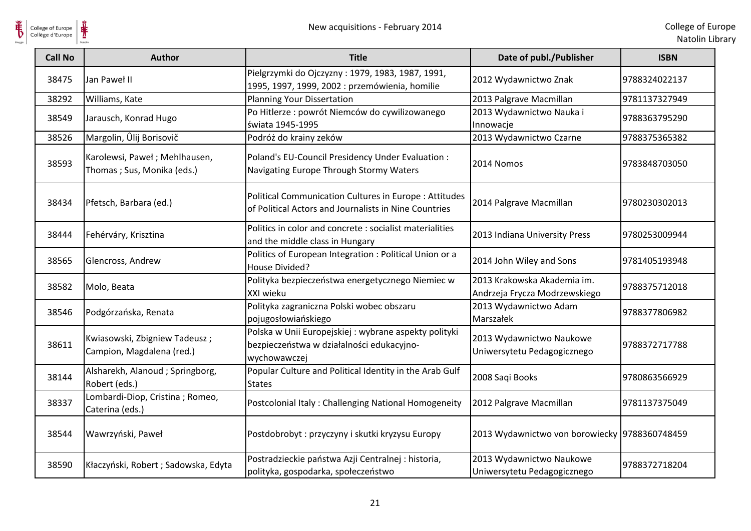

| <b>Call No</b> | <b>Author</b>                                               | <b>Title</b>                                                                                                          | Date of publ./Publisher                                      | <b>ISBN</b>   |
|----------------|-------------------------------------------------------------|-----------------------------------------------------------------------------------------------------------------------|--------------------------------------------------------------|---------------|
| 38475          | Jan Paweł II                                                | Pielgrzymki do Ojczyzny: 1979, 1983, 1987, 1991,<br>1995, 1997, 1999, 2002 : przemówienia, homilie                    | 2012 Wydawnictwo Znak                                        | 9788324022137 |
| 38292          | Williams, Kate                                              | <b>Planning Your Dissertation</b>                                                                                     | 2013 Palgrave Macmillan                                      | 9781137327949 |
| 38549          | Jarausch, Konrad Hugo                                       | Po Hitlerze : powrót Niemców do cywilizowanego<br>świata 1945-1995                                                    | 2013 Wydawnictwo Nauka i<br>Innowacje                        | 9788363795290 |
| 38526          | Margolin, Ûlij Borisovič                                    | Podróż do krainy zeków                                                                                                | 2013 Wydawnictwo Czarne                                      | 9788375365382 |
| 38593          | Karolewsi, Paweł; Mehlhausen,<br>Thomas; Sus, Monika (eds.) | Poland's EU-Council Presidency Under Evaluation :<br>Navigating Europe Through Stormy Waters                          | 2014 Nomos                                                   | 9783848703050 |
| 38434          | Pfetsch, Barbara (ed.)                                      | <b>Political Communication Cultures in Europe: Attitudes</b><br>of Political Actors and Journalists in Nine Countries | 2014 Palgrave Macmillan                                      | 9780230302013 |
| 38444          | Fehérváry, Krisztina                                        | Politics in color and concrete : socialist materialities<br>and the middle class in Hungary                           | 2013 Indiana University Press                                | 9780253009944 |
| 38565          | Glencross, Andrew                                           | Politics of European Integration : Political Union or a<br>House Divided?                                             | 2014 John Wiley and Sons                                     | 9781405193948 |
| 38582          | Molo, Beata                                                 | Polityka bezpieczeństwa energetycznego Niemiec w<br>XXI wieku                                                         | 2013 Krakowska Akademia im.<br>Andrzeja Frycza Modrzewskiego | 9788375712018 |
| 38546          | Podgórzańska, Renata                                        | Polityka zagraniczna Polski wobec obszaru<br>pojugosłowiańskiego                                                      | 2013 Wydawnictwo Adam<br>Marszałek                           | 9788377806982 |
| 38611          | Kwiasowski, Zbigniew Tadeusz;<br>Campion, Magdalena (red.)  | Polska w Unii Europejskiej: wybrane aspekty polityki<br>bezpieczeństwa w działalności edukacyjno-<br>wychowawczej     | 2013 Wydawnictwo Naukowe<br>Uniwersytetu Pedagogicznego      | 9788372717788 |
| 38144          | Alsharekh, Alanoud; Springborg,<br>Robert (eds.)            | Popular Culture and Political Identity in the Arab Gulf<br><b>States</b>                                              | 2008 Saqi Books                                              | 9780863566929 |
| 38337          | Lombardi-Diop, Cristina; Romeo,<br>Caterina (eds.)          | Postcolonial Italy: Challenging National Homogeneity                                                                  | 2012 Palgrave Macmillan                                      | 9781137375049 |
| 38544          | Wawrzyński, Paweł                                           | Postdobrobyt : przyczyny i skutki kryzysu Europy                                                                      | 2013 Wydawnictwo von borowiecky 9788360748459                |               |
| 38590          | Kłaczyński, Robert; Sadowska, Edyta                         | Postradzieckie państwa Azji Centralnej: historia,<br>polityka, gospodarka, społeczeństwo                              | 2013 Wydawnictwo Naukowe<br>Uniwersytetu Pedagogicznego      | 9788372718204 |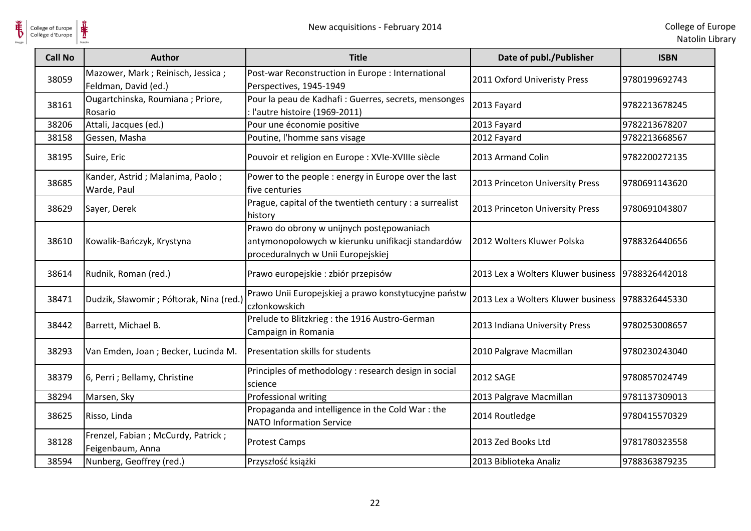| <b>Call No</b> | Author                                                      | <b>Title</b>                                                                                                                         | Date of publ./Publisher            | <b>ISBN</b>   |
|----------------|-------------------------------------------------------------|--------------------------------------------------------------------------------------------------------------------------------------|------------------------------------|---------------|
| 38059          | Mazower, Mark ; Reinisch, Jessica ;<br>Feldman, David (ed.) | Post-war Reconstruction in Europe : International<br>Perspectives, 1945-1949                                                         | 2011 Oxford Univeristy Press       | 9780199692743 |
| 38161          | Ougartchinska, Roumiana; Priore,<br>Rosario                 | Pour la peau de Kadhafi : Guerres, secrets, mensonges<br>: l'autre histoire (1969-2011)                                              | 2013 Fayard                        | 9782213678245 |
| 38206          | Attali, Jacques (ed.)                                       | Pour une économie positive                                                                                                           | 2013 Fayard                        | 9782213678207 |
| 38158          | Gessen, Masha                                               | Poutine, l'homme sans visage                                                                                                         | 2012 Fayard                        | 9782213668567 |
| 38195          | Suire, Eric                                                 | Pouvoir et religion en Europe : XVIe-XVIIIe siècle                                                                                   | 2013 Armand Colin                  | 9782200272135 |
| 38685          | Kander, Astrid; Malanima, Paolo;<br>Warde, Paul             | Power to the people : energy in Europe over the last<br>five centuries                                                               | 2013 Princeton University Press    | 9780691143620 |
| 38629          | Sayer, Derek                                                | Prague, capital of the twentieth century : a surrealist<br>history                                                                   | 2013 Princeton University Press    | 9780691043807 |
| 38610          | Kowalik-Bańczyk, Krystyna                                   | Prawo do obrony w unijnych postępowaniach<br>antymonopolowych w kierunku unifikacji standardów<br>proceduralnych w Unii Europejskiej | 2012 Wolters Kluwer Polska         | 9788326440656 |
| 38614          | Rudnik, Roman (red.)                                        | Prawo europejskie : zbiór przepisów                                                                                                  | 2013 Lex a Wolters Kluwer business | 9788326442018 |
| 38471          | Dudzik, Sławomir; Półtorak, Nina (red.)                     | Prawo Unii Europejskiej a prawo konstytucyjne państw<br>członkowskich                                                                | 2013 Lex a Wolters Kluwer business | 9788326445330 |
| 38442          | Barrett, Michael B.                                         | Prelude to Blitzkrieg : the 1916 Austro-German<br>Campaign in Romania                                                                | 2013 Indiana University Press      | 9780253008657 |
| 38293          | Van Emden, Joan; Becker, Lucinda M.                         | Presentation skills for students                                                                                                     | 2010 Palgrave Macmillan            | 9780230243040 |
| 38379          | 6, Perri ; Bellamy, Christine                               | Principles of methodology : research design in social<br>science                                                                     | 2012 SAGE                          | 9780857024749 |
| 38294          | Marsen, Sky                                                 | Professional writing                                                                                                                 | 2013 Palgrave Macmillan            | 9781137309013 |
| 38625          | Risso, Linda                                                | Propaganda and intelligence in the Cold War : the<br><b>NATO Information Service</b>                                                 | 2014 Routledge                     | 9780415570329 |
| 38128          | Frenzel, Fabian ; McCurdy, Patrick ;<br>Feigenbaum, Anna    | <b>Protest Camps</b>                                                                                                                 | 2013 Zed Books Ltd                 | 9781780323558 |
| 38594          | Nunberg, Geoffrey (red.)                                    | Przyszłość książki                                                                                                                   | 2013 Biblioteka Analiz             | 9788363879235 |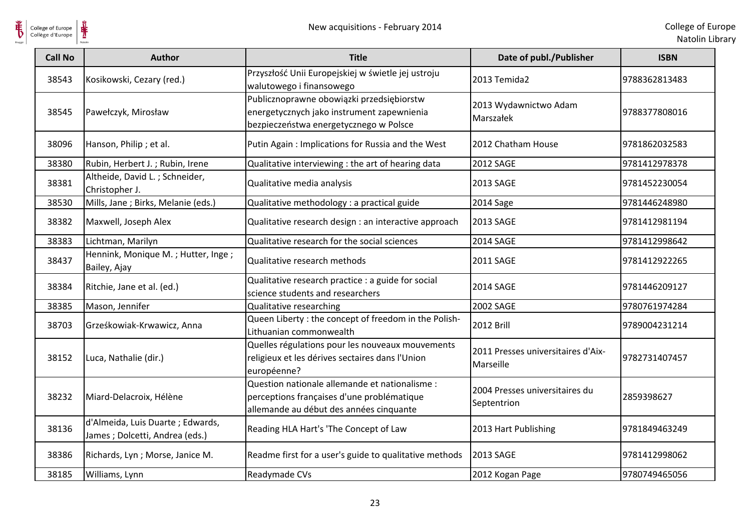

| <b>Call No</b> | Author                                                              | <b>Title</b>                                                                                                                            | Date of publ./Publisher                         | <b>ISBN</b>   |
|----------------|---------------------------------------------------------------------|-----------------------------------------------------------------------------------------------------------------------------------------|-------------------------------------------------|---------------|
| 38543          | Kosikowski, Cezary (red.)                                           | Przyszłość Unii Europejskiej w świetle jej ustroju<br>walutowego i finansowego                                                          | 2013 Temida2                                    | 9788362813483 |
| 38545          | Pawełczyk, Mirosław                                                 | Publicznoprawne obowiązki przedsiębiorstw<br>energetycznych jako instrument zapewnienia<br>bezpieczeństwa energetycznego w Polsce       | 2013 Wydawnictwo Adam<br>Marszałek              | 9788377808016 |
| 38096          | Hanson, Philip; et al.                                              | Putin Again: Implications for Russia and the West                                                                                       | 2012 Chatham House                              | 9781862032583 |
| 38380          | Rubin, Herbert J.; Rubin, Irene                                     | Qualitative interviewing : the art of hearing data                                                                                      | 2012 SAGE                                       | 9781412978378 |
| 38381          | Altheide, David L.; Schneider,<br>Christopher J.                    | Qualitative media analysis                                                                                                              | 2013 SAGE                                       | 9781452230054 |
| 38530          | Mills, Jane ; Birks, Melanie (eds.)                                 | Qualitative methodology : a practical guide                                                                                             | 2014 Sage                                       | 9781446248980 |
| 38382          | Maxwell, Joseph Alex                                                | Qualitative research design : an interactive approach                                                                                   | 2013 SAGE                                       | 9781412981194 |
| 38383          | Lichtman, Marilyn                                                   | Qualitative research for the social sciences                                                                                            | <b>2014 SAGE</b>                                | 9781412998642 |
| 38437          | Hennink, Monique M.; Hutter, Inge;<br>Bailey, Ajay                  | Qualitative research methods                                                                                                            | 2011 SAGE                                       | 9781412922265 |
| 38384          | Ritchie, Jane et al. (ed.)                                          | Qualitative research practice : a guide for social<br>science students and researchers                                                  | 2014 SAGE                                       | 9781446209127 |
| 38385          | Mason, Jennifer                                                     | <b>Qualitative researching</b>                                                                                                          | 2002 SAGE                                       | 9780761974284 |
| 38703          | Grześkowiak-Krwawicz, Anna                                          | Queen Liberty : the concept of freedom in the Polish-<br>Lithuanian commonwealth                                                        | <b>2012 Brill</b>                               | 9789004231214 |
| 38152          | Luca, Nathalie (dir.)                                               | Quelles régulations pour les nouveaux mouvements<br>religieux et les dérives sectaires dans l'Union<br>européenne?                      | 2011 Presses universitaires d'Aix-<br>Marseille | 9782731407457 |
| 38232          | Miard-Delacroix, Hélène                                             | Question nationale allemande et nationalisme :<br>perceptions françaises d'une problématique<br>allemande au début des années cinquante | 2004 Presses universitaires du<br>Septentrion   | 2859398627    |
| 38136          | d'Almeida, Luis Duarte ; Edwards,<br>James; Dolcetti, Andrea (eds.) | Reading HLA Hart's 'The Concept of Law                                                                                                  | 2013 Hart Publishing                            | 9781849463249 |
| 38386          | Richards, Lyn; Morse, Janice M.                                     | Readme first for a user's guide to qualitative methods                                                                                  | <b>2013 SAGE</b>                                | 9781412998062 |
| 38185          | Williams, Lynn                                                      | Readymade CVs                                                                                                                           | 2012 Kogan Page                                 | 9780749465056 |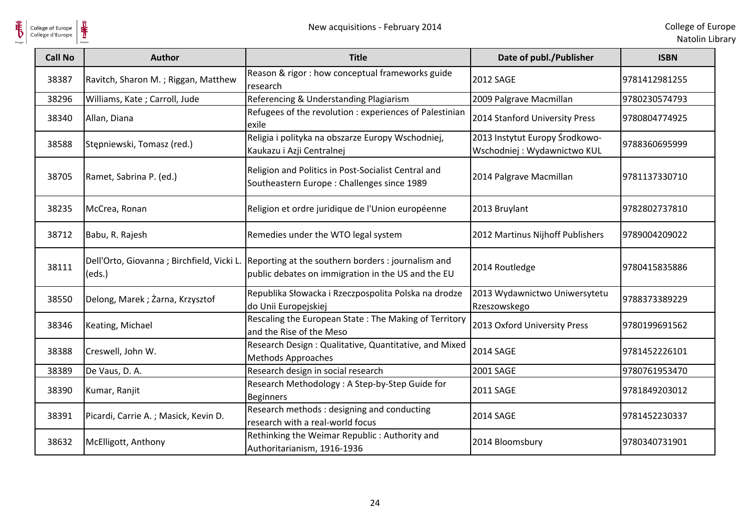

| <b>Call No</b> | <b>Author</b>                                        | <b>Title</b>                                                                                             | Date of publ./Publisher                                       | <b>ISBN</b>   |
|----------------|------------------------------------------------------|----------------------------------------------------------------------------------------------------------|---------------------------------------------------------------|---------------|
| 38387          | Ravitch, Sharon M.; Riggan, Matthew                  | Reason & rigor : how conceptual frameworks guide<br>research                                             | <b>2012 SAGE</b>                                              | 9781412981255 |
| 38296          | Williams, Kate; Carroll, Jude                        | Referencing & Understanding Plagiarism                                                                   | 2009 Palgrave Macmillan                                       | 9780230574793 |
| 38340          | Allan, Diana                                         | Refugees of the revolution : experiences of Palestinian<br>exile                                         | 2014 Stanford University Press                                | 9780804774925 |
| 38588          | Stępniewski, Tomasz (red.)                           | Religia i polityka na obszarze Europy Wschodniej,<br>Kaukazu i Azji Centralnej                           | 2013 Instytut Europy Środkowo-<br>Wschodniej: Wydawnictwo KUL | 9788360695999 |
| 38705          | Ramet, Sabrina P. (ed.)                              | Religion and Politics in Post-Socialist Central and<br>Southeastern Europe: Challenges since 1989        | 2014 Palgrave Macmillan                                       | 9781137330710 |
| 38235          | McCrea, Ronan                                        | Religion et ordre juridique de l'Union européenne                                                        | 2013 Bruylant                                                 | 9782802737810 |
| 38712          | Babu, R. Rajesh                                      | Remedies under the WTO legal system                                                                      | 2012 Martinus Nijhoff Publishers                              | 9789004209022 |
| 38111          | Dell'Orto, Giovanna ; Birchfield, Vicki L.<br>(eds.) | Reporting at the southern borders : journalism and<br>public debates on immigration in the US and the EU | 2014 Routledge                                                | 9780415835886 |
| 38550          | Delong, Marek; Żarna, Krzysztof                      | Republika Słowacka i Rzeczpospolita Polska na drodze<br>do Unii Europejskiej                             | 2013 Wydawnictwo Uniwersytetu<br>Rzeszowskego                 | 9788373389229 |
| 38346          | Keating, Michael                                     | Rescaling the European State: The Making of Territory<br>and the Rise of the Meso                        | 2013 Oxford University Press                                  | 9780199691562 |
| 38388          | Creswell, John W.                                    | Research Design: Qualitative, Quantitative, and Mixed<br><b>Methods Approaches</b>                       | <b>2014 SAGE</b>                                              | 9781452226101 |
| 38389          | De Vaus, D. A.                                       | Research design in social research                                                                       | 2001 SAGE                                                     | 9780761953470 |
| 38390          | Kumar, Ranjit                                        | Research Methodology: A Step-by-Step Guide for<br><b>Beginners</b>                                       | 2011 SAGE                                                     | 9781849203012 |
| 38391          | Picardi, Carrie A.; Masick, Kevin D.                 | Research methods : designing and conducting<br>research with a real-world focus                          | 2014 SAGE                                                     | 9781452230337 |
| 38632          | McElligott, Anthony                                  | Rethinking the Weimar Republic: Authority and<br>Authoritarianism, 1916-1936                             | 2014 Bloomsbury                                               | 9780340731901 |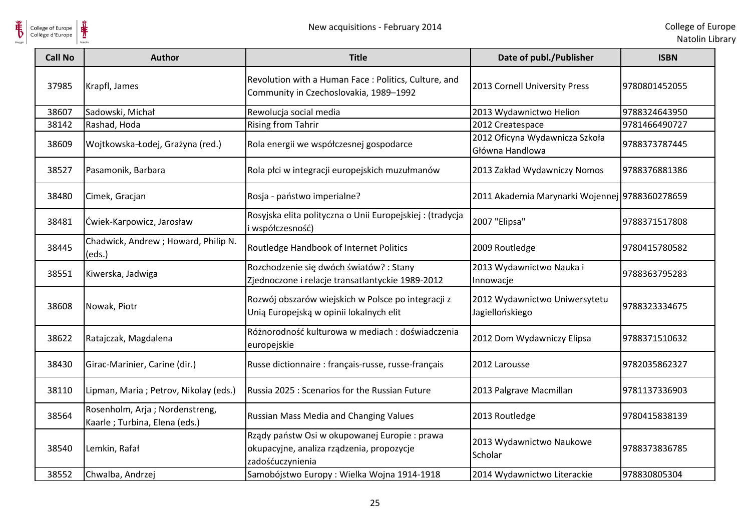

| <b>Call No</b> | <b>Author</b>                                                    | <b>Title</b>                                                                                                  | Date of publ./Publisher                           | <b>ISBN</b>   |
|----------------|------------------------------------------------------------------|---------------------------------------------------------------------------------------------------------------|---------------------------------------------------|---------------|
| 37985          | Krapfl, James                                                    | Revolution with a Human Face: Politics, Culture, and<br>Community in Czechoslovakia, 1989-1992                | 2013 Cornell University Press                     | 9780801452055 |
| 38607          | Sadowski, Michał                                                 | Rewolucja social media                                                                                        | 2013 Wydawnictwo Helion                           | 9788324643950 |
| 38142          | Rashad, Hoda                                                     | <b>Rising from Tahrir</b>                                                                                     | 2012 Createspace                                  | 9781466490727 |
| 38609          | Wojtkowska-Łodej, Grażyna (red.)                                 | Rola energii we współczesnej gospodarce                                                                       | 2012 Oficyna Wydawnicza Szkoła<br>Główna Handlowa | 9788373787445 |
| 38527          | Pasamonik, Barbara                                               | Rola płci w integracji europejskich muzułmanów                                                                | 2013 Zakład Wydawniczy Nomos                      | 9788376881386 |
| 38480          | Cimek, Gracjan                                                   | Rosja - państwo imperialne?                                                                                   | 2011 Akademia Marynarki Wojennej 9788360278659    |               |
| 38481          | Ćwiek-Karpowicz, Jarosław                                        | Rosyjska elita polityczna o Unii Europejskiej: (tradycja<br>i współczesność)                                  | 2007 "Elipsa"                                     | 9788371517808 |
| 38445          | Chadwick, Andrew; Howard, Philip N.<br>(eds.)                    | Routledge Handbook of Internet Politics                                                                       | 2009 Routledge                                    | 9780415780582 |
| 38551          | Kiwerska, Jadwiga                                                | Rozchodzenie się dwóch światów? : Stany<br>Zjednoczone i relacje transatlantyckie 1989-2012                   | 2013 Wydawnictwo Nauka i<br>Innowacje             | 9788363795283 |
| 38608          | Nowak, Piotr                                                     | Rozwój obszarów wiejskich w Polsce po integracji z<br>Unią Europejską w opinii lokalnych elit                 | 2012 Wydawnictwo Uniwersytetu<br>Jagiellońskiego  | 9788323334675 |
| 38622          | Ratajczak, Magdalena                                             | Różnorodność kulturowa w mediach : doświadczenia<br>europejskie                                               | 2012 Dom Wydawniczy Elipsa                        | 9788371510632 |
| 38430          | Girac-Marinier, Carine (dir.)                                    | Russe dictionnaire : français-russe, russe-français                                                           | 2012 Larousse                                     | 9782035862327 |
| 38110          | Lipman, Maria ; Petrov, Nikolay (eds.)                           | Russia 2025 : Scenarios for the Russian Future                                                                | 2013 Palgrave Macmillan                           | 9781137336903 |
| 38564          | Rosenholm, Arja; Nordenstreng,<br>Kaarle ; Turbina, Elena (eds.) | <b>Russian Mass Media and Changing Values</b>                                                                 | 2013 Routledge                                    | 9780415838139 |
| 38540          | Lemkin, Rafał                                                    | Rządy państw Osi w okupowanej Europie: prawa<br>okupacyjne, analiza rządzenia, propozycje<br>zadośćuczynienia | 2013 Wydawnictwo Naukowe<br>Scholar               | 9788373836785 |
| 38552          | Chwalba, Andrzej                                                 | Samobójstwo Europy: Wielka Wojna 1914-1918                                                                    | 2014 Wydawnictwo Literackie                       | 978830805304  |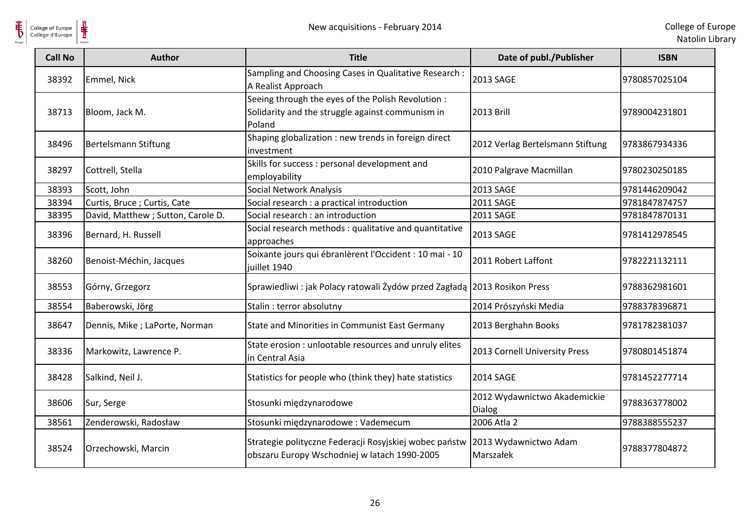



| <b>Call No</b> | <b>Author</b>                      | <b>Title</b>                                                                                                                 | Date of publ./Publisher                | <b>ISBN</b>   |
|----------------|------------------------------------|------------------------------------------------------------------------------------------------------------------------------|----------------------------------------|---------------|
| 38392          | Emmel, Nick                        | Sampling and Choosing Cases in Qualitative Research :<br>A Realist Approach                                                  | 2013 SAGE                              | 9780857025104 |
| 38713          | Bloom, Jack M.                     | Seeing through the eyes of the Polish Revolution :<br>Solidarity and the struggle against communism in<br>Poland             | <b>2013 Brill</b>                      | 9789004231801 |
| 38496          | Bertelsmann Stiftung               | Shaping globalization : new trends in foreign direct<br>investment                                                           | 2012 Verlag Bertelsmann Stiftung       | 9783867934336 |
| 38297          | Cottrell, Stella                   | Skills for success : personal development and<br>employability                                                               | 2010 Palgrave Macmillan                | 9780230250185 |
| 38393          | Scott, John                        | Social Network Analysis                                                                                                      | 2013 SAGE                              | 9781446209042 |
| 38394          | Curtis, Bruce; Curtis, Cate        | Social research : a practical introduction                                                                                   | <b>2011 SAGE</b>                       | 9781847874757 |
| 38395          | David, Matthew ; Sutton, Carole D. | Social research : an introduction                                                                                            | <b>2011 SAGE</b>                       | 9781847870131 |
| 38396          | Bernard, H. Russell                | Social research methods : qualitative and quantitative<br>approaches                                                         | 2013 SAGE                              | 9781412978545 |
| 38260          | Benoist-Méchin, Jacques            | Soixante jours qui ébranlèrent l'Occident : 10 mai - 10<br>juillet 1940                                                      | 2011 Robert Laffont                    | 9782221132111 |
| 38553          | Górny, Grzegorz                    | Sprawiedliwi : jak Polacy ratowali Żydów przed Zagładą 2013 Rosikon Press                                                    |                                        | 9788362981601 |
| 38554          | Baberowski, Jörg                   | Stalin: terror absolutny                                                                                                     | 2014 Prószyński Media                  | 9788378396871 |
| 38647          | Dennis, Mike; LaPorte, Norman      | State and Minorities in Communist East Germany                                                                               | 2013 Berghahn Books                    | 9781782381037 |
| 38336          | Markowitz, Lawrence P.             | State erosion : unlootable resources and unruly elites<br>in Central Asia                                                    | 2013 Cornell University Press          | 9780801451874 |
| 38428          | Salkind, Neil J.                   | Statistics for people who (think they) hate statistics                                                                       | <b>2014 SAGE</b>                       | 9781452277714 |
| 38606          | Sur, Serge                         | Stosunki międzynarodowe                                                                                                      | 2012 Wydawnictwo Akademickie<br>Dialog | 9788363778002 |
| 38561          | Zenderowski, Radosław              | Stosunki międzynarodowe: Vademecum                                                                                           | 2006 Atla 2                            | 9788388555237 |
| 38524          | Orzechowski, Marcin                | Strategie polityczne Federacji Rosyjskiej wobec państw 2013 Wydawnictwo Adam<br>obszaru Europy Wschodniej w latach 1990-2005 | Marszałek                              | 9788377804872 |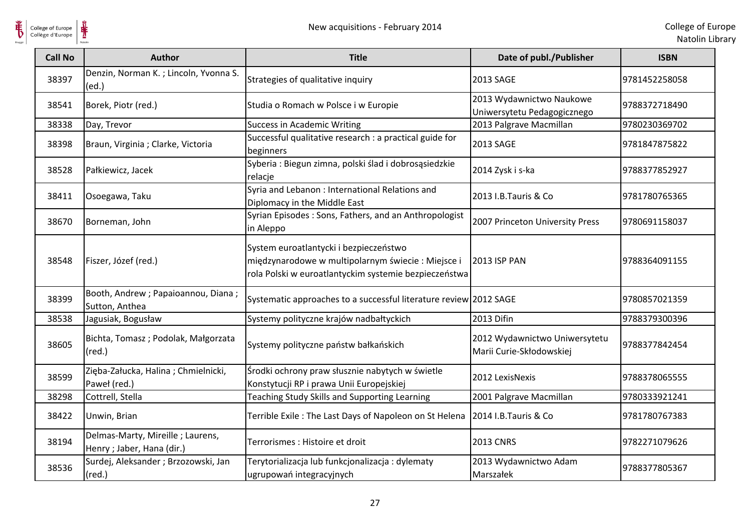

| <b>Call No</b> | Author                                                        | <b>Title</b>                                                                                                                                         | Date of publ./Publisher                                   | <b>ISBN</b>   |
|----------------|---------------------------------------------------------------|------------------------------------------------------------------------------------------------------------------------------------------------------|-----------------------------------------------------------|---------------|
| 38397          | Denzin, Norman K.; Lincoln, Yvonna S.<br>(ed.)                | Strategies of qualitative inquiry                                                                                                                    | 2013 SAGE                                                 | 9781452258058 |
| 38541          | Borek, Piotr (red.)                                           | Studia o Romach w Polsce i w Europie                                                                                                                 | 2013 Wydawnictwo Naukowe<br>Uniwersytetu Pedagogicznego   | 9788372718490 |
| 38338          | Day, Trevor                                                   | <b>Success in Academic Writing</b>                                                                                                                   | 2013 Palgrave Macmillan                                   | 9780230369702 |
| 38398          | Braun, Virginia ; Clarke, Victoria                            | Successful qualitative research : a practical guide for<br>beginners                                                                                 | 2013 SAGE                                                 | 9781847875822 |
| 38528          | Pałkiewicz, Jacek                                             | Syberia : Biegun zimna, polski ślad i dobrosąsiedzkie<br>relacje                                                                                     | 2014 Zysk i s-ka                                          | 9788377852927 |
| 38411          | Osoegawa, Taku                                                | Syria and Lebanon: International Relations and<br>Diplomacy in the Middle East                                                                       | 2013 I.B.Tauris & Co                                      | 9781780765365 |
| 38670          | Borneman, John                                                | Syrian Episodes: Sons, Fathers, and an Anthropologist<br>in Aleppo                                                                                   | 2007 Princeton University Press                           | 9780691158037 |
| 38548          | Fiszer, Józef (red.)                                          | System euroatlantycki i bezpieczeństwo<br>międzynarodowe w multipolarnym świecie: Miejsce i<br>rola Polski w euroatlantyckim systemie bezpieczeństwa | <b>2013 ISP PAN</b>                                       | 9788364091155 |
| 38399          | Booth, Andrew ; Papaioannou, Diana ;<br>Sutton, Anthea        | Systematic approaches to a successful literature review 2012 SAGE                                                                                    |                                                           | 9780857021359 |
| 38538          | Jagusiak, Bogusław                                            | Systemy polityczne krajów nadbałtyckich                                                                                                              | 2013 Difin                                                | 9788379300396 |
| 38605          | Bichta, Tomasz; Podolak, Małgorzata<br>$(\text{red.})$        | Systemy polityczne państw bałkańskich                                                                                                                | 2012 Wydawnictwo Uniwersytetu<br>Marii Curie-Skłodowskiej | 9788377842454 |
| 38599          | Zięba-Załucka, Halina; Chmielnicki,<br>Paweł (red.)           | Środki ochrony praw słusznie nabytych w świetle<br>Konstytucji RP i prawa Unii Europejskiej                                                          | 2012 LexisNexis                                           | 9788378065555 |
| 38298          | Cottrell, Stella                                              | Teaching Study Skills and Supporting Learning                                                                                                        | 2001 Palgrave Macmillan                                   | 9780333921241 |
| 38422          | Unwin, Brian                                                  | Terrible Exile: The Last Days of Napoleon on St Helena                                                                                               | 2014 I.B. Tauris & Co                                     | 9781780767383 |
| 38194          | Delmas-Marty, Mireille; Laurens,<br>Henry; Jaber, Hana (dir.) | Terrorismes : Histoire et droit                                                                                                                      | <b>2013 CNRS</b>                                          | 9782271079626 |
| 38536          | Surdej, Aleksander ; Brzozowski, Jan<br>$(\text{red.})$       | Terytorializacja lub funkcjonalizacja: dylematy<br>ugrupowań integracyjnych                                                                          | 2013 Wydawnictwo Adam<br>Marszałek                        | 9788377805367 |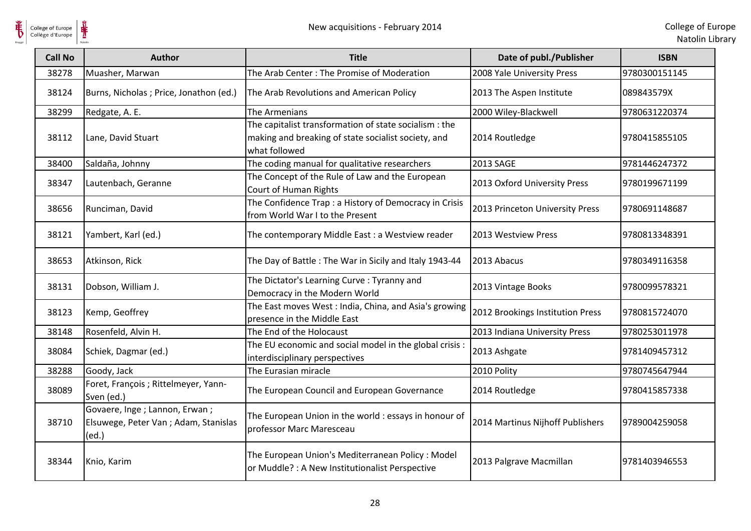

| <b>Call No</b> | <b>Author</b>                                                                   | <b>Title</b>                                                                                                                   | Date of publ./Publisher          | <b>ISBN</b>   |
|----------------|---------------------------------------------------------------------------------|--------------------------------------------------------------------------------------------------------------------------------|----------------------------------|---------------|
| 38278          | Muasher, Marwan                                                                 | The Arab Center: The Promise of Moderation                                                                                     | 2008 Yale University Press       | 9780300151145 |
| 38124          | Burns, Nicholas; Price, Jonathon (ed.)                                          | The Arab Revolutions and American Policy                                                                                       | 2013 The Aspen Institute         | 089843579X    |
| 38299          | Redgate, A. E.                                                                  | The Armenians                                                                                                                  | 2000 Wiley-Blackwell             | 9780631220374 |
| 38112          | Lane, David Stuart                                                              | The capitalist transformation of state socialism : the<br>making and breaking of state socialist society, and<br>what followed | 2014 Routledge                   | 9780415855105 |
| 38400          | Saldaña, Johnny                                                                 | The coding manual for qualitative researchers                                                                                  | 2013 SAGE                        | 9781446247372 |
| 38347          | Lautenbach, Geranne                                                             | The Concept of the Rule of Law and the European<br>Court of Human Rights                                                       | 2013 Oxford University Press     | 9780199671199 |
| 38656          | Runciman, David                                                                 | The Confidence Trap : a History of Democracy in Crisis<br>from World War I to the Present                                      | 2013 Princeton University Press  | 9780691148687 |
| 38121          | Yambert, Karl (ed.)                                                             | The contemporary Middle East : a Westview reader                                                                               | 2013 Westview Press              | 9780813348391 |
| 38653          | Atkinson, Rick                                                                  | The Day of Battle: The War in Sicily and Italy 1943-44                                                                         | 2013 Abacus                      | 9780349116358 |
| 38131          | Dobson, William J.                                                              | The Dictator's Learning Curve: Tyranny and<br>Democracy in the Modern World                                                    | 2013 Vintage Books               | 9780099578321 |
| 38123          | Kemp, Geoffrey                                                                  | The East moves West : India, China, and Asia's growing<br>presence in the Middle East                                          | 2012 Brookings Institution Press | 9780815724070 |
| 38148          | Rosenfeld, Alvin H.                                                             | The End of the Holocaust                                                                                                       | 2013 Indiana University Press    | 9780253011978 |
| 38084          | Schiek, Dagmar (ed.)                                                            | The EU economic and social model in the global crisis :<br>interdisciplinary perspectives                                      | 2013 Ashgate                     | 9781409457312 |
| 38288          | Goody, Jack                                                                     | The Eurasian miracle                                                                                                           | 2010 Polity                      | 9780745647944 |
| 38089          | Foret, François ; Rittelmeyer, Yann-<br>Sven (ed.)                              | The European Council and European Governance                                                                                   | 2014 Routledge                   | 9780415857338 |
| 38710          | Govaere, Inge; Lannon, Erwan;<br>Elsuwege, Peter Van ; Adam, Stanislas<br>(ed.) | The European Union in the world : essays in honour of<br>professor Marc Maresceau                                              | 2014 Martinus Nijhoff Publishers | 9789004259058 |
| 38344          | Knio, Karim                                                                     | The European Union's Mediterranean Policy: Model<br>or Muddle? : A New Institutionalist Perspective                            | 2013 Palgrave Macmillan          | 9781403946553 |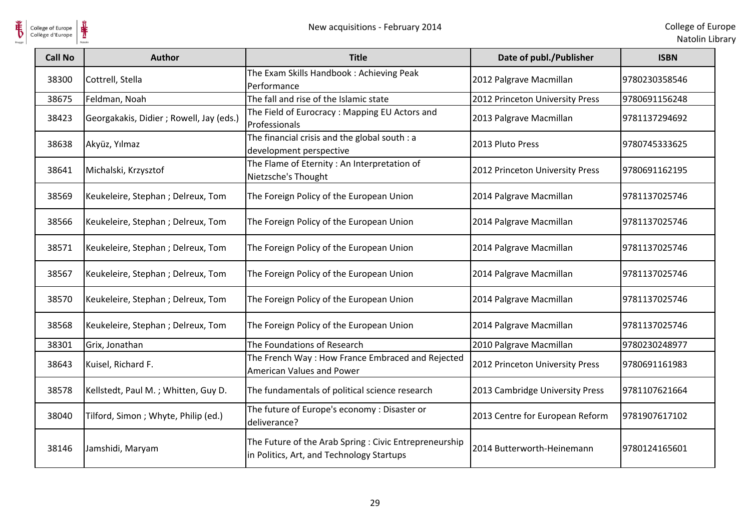

| <b>Call No</b> | <b>Author</b>                            | <b>Title</b>                                                                                        | Date of publ./Publisher         | <b>ISBN</b>   |
|----------------|------------------------------------------|-----------------------------------------------------------------------------------------------------|---------------------------------|---------------|
| 38300          | Cottrell, Stella                         | The Exam Skills Handbook: Achieving Peak<br>Performance                                             | 2012 Palgrave Macmillan         | 9780230358546 |
| 38675          | Feldman, Noah                            | The fall and rise of the Islamic state                                                              | 2012 Princeton University Press | 9780691156248 |
| 38423          | Georgakakis, Didier ; Rowell, Jay (eds.) | The Field of Eurocracy: Mapping EU Actors and<br>Professionals                                      | 2013 Palgrave Macmillan         | 9781137294692 |
| 38638          | Akyüz, Yılmaz                            | The financial crisis and the global south : a<br>development perspective                            | 2013 Pluto Press                | 9780745333625 |
| 38641          | Michalski, Krzysztof                     | The Flame of Eternity: An Interpretation of<br>Nietzsche's Thought                                  | 2012 Princeton University Press | 9780691162195 |
| 38569          | Keukeleire, Stephan; Delreux, Tom        | The Foreign Policy of the European Union                                                            | 2014 Palgrave Macmillan         | 9781137025746 |
| 38566          | Keukeleire, Stephan ; Delreux, Tom       | The Foreign Policy of the European Union                                                            | 2014 Palgrave Macmillan         | 9781137025746 |
| 38571          | Keukeleire, Stephan ; Delreux, Tom       | The Foreign Policy of the European Union                                                            | 2014 Palgrave Macmillan         | 9781137025746 |
| 38567          | Keukeleire, Stephan ; Delreux, Tom       | The Foreign Policy of the European Union                                                            | 2014 Palgrave Macmillan         | 9781137025746 |
| 38570          | Keukeleire, Stephan ; Delreux, Tom       | The Foreign Policy of the European Union                                                            | 2014 Palgrave Macmillan         | 9781137025746 |
| 38568          | Keukeleire, Stephan; Delreux, Tom        | The Foreign Policy of the European Union                                                            | 2014 Palgrave Macmillan         | 9781137025746 |
| 38301          | Grix, Jonathan                           | The Foundations of Research                                                                         | 2010 Palgrave Macmillan         | 9780230248977 |
| 38643          | Kuisel, Richard F.                       | The French Way: How France Embraced and Rejected<br>American Values and Power                       | 2012 Princeton University Press | 9780691161983 |
| 38578          | Kellstedt, Paul M.; Whitten, Guy D.      | The fundamentals of political science research                                                      | 2013 Cambridge University Press | 9781107621664 |
| 38040          | Tilford, Simon ; Whyte, Philip (ed.)     | The future of Europe's economy: Disaster or<br>deliverance?                                         | 2013 Centre for European Reform | 9781907617102 |
| 38146          | Jamshidi, Maryam                         | The Future of the Arab Spring : Civic Entrepreneurship<br>in Politics, Art, and Technology Startups | 2014 Butterworth-Heinemann      | 9780124165601 |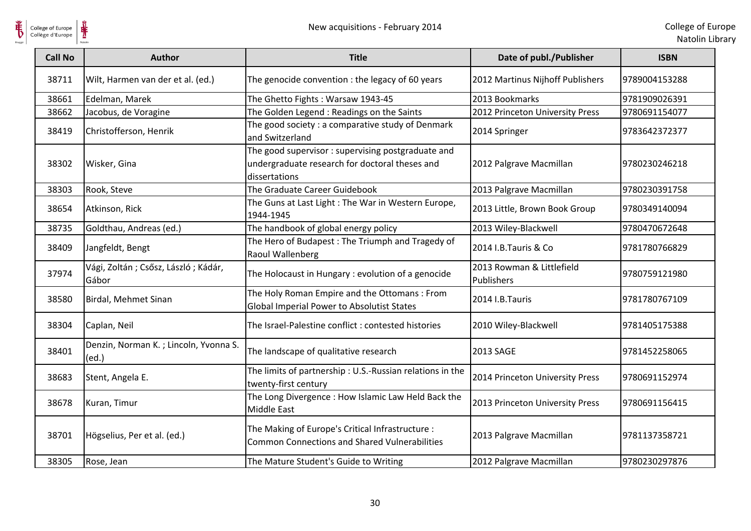

| <b>Call No</b> | <b>Author</b>                                  | <b>Title</b>                                                                                                          | Date of publ./Publisher                 | <b>ISBN</b>   |
|----------------|------------------------------------------------|-----------------------------------------------------------------------------------------------------------------------|-----------------------------------------|---------------|
| 38711          | Wilt, Harmen van der et al. (ed.)              | The genocide convention : the legacy of 60 years                                                                      | 2012 Martinus Nijhoff Publishers        | 9789004153288 |
| 38661          | Edelman, Marek                                 | The Ghetto Fights: Warsaw 1943-45                                                                                     | 2013 Bookmarks                          | 9781909026391 |
| 38662          | Jacobus, de Voragine                           | The Golden Legend: Readings on the Saints                                                                             | 2012 Princeton University Press         | 9780691154077 |
| 38419          | Christofferson, Henrik                         | The good society: a comparative study of Denmark<br>and Switzerland                                                   | 2014 Springer                           | 9783642372377 |
| 38302          | Wisker, Gina                                   | The good supervisor : supervising postgraduate and<br>undergraduate research for doctoral theses and<br>dissertations | 2012 Palgrave Macmillan                 | 9780230246218 |
| 38303          | Rook, Steve                                    | The Graduate Career Guidebook                                                                                         | 2013 Palgrave Macmillan                 | 9780230391758 |
| 38654          | Atkinson, Rick                                 | The Guns at Last Light : The War in Western Europe,<br>1944-1945                                                      | 2013 Little, Brown Book Group           | 9780349140094 |
| 38735          | Goldthau, Andreas (ed.)                        | The handbook of global energy policy                                                                                  | 2013 Wiley-Blackwell                    | 9780470672648 |
| 38409          | Jangfeldt, Bengt                               | The Hero of Budapest: The Triumph and Tragedy of<br>Raoul Wallenberg                                                  | 2014 I.B.Tauris & Co                    | 9781780766829 |
| 37974          | Vági, Zoltán; Csősz, László; Kádár,<br>Gábor   | The Holocaust in Hungary : evolution of a genocide                                                                    | 2013 Rowman & Littlefield<br>Publishers | 9780759121980 |
| 38580          | Birdal, Mehmet Sinan                           | The Holy Roman Empire and the Ottomans: From<br>Global Imperial Power to Absolutist States                            | 2014 I.B.Tauris                         | 9781780767109 |
| 38304          | Caplan, Neil                                   | The Israel-Palestine conflict : contested histories                                                                   | 2010 Wiley-Blackwell                    | 9781405175388 |
| 38401          | Denzin, Norman K.; Lincoln, Yvonna S.<br>(ed.) | The landscape of qualitative research                                                                                 | 2013 SAGE                               | 9781452258065 |
| 38683          | Stent, Angela E.                               | The limits of partnership: U.S.-Russian relations in the<br>twenty-first century                                      | 2014 Princeton University Press         | 9780691152974 |
| 38678          | Kuran, Timur                                   | The Long Divergence : How Islamic Law Held Back the<br>Middle East                                                    | 2013 Princeton University Press         | 9780691156415 |
| 38701          | Högselius, Per et al. (ed.)                    | The Making of Europe's Critical Infrastructure :<br><b>Common Connections and Shared Vulnerabilities</b>              | 2013 Palgrave Macmillan                 | 9781137358721 |
| 38305          | Rose, Jean                                     | The Mature Student's Guide to Writing                                                                                 | 2012 Palgrave Macmillan                 | 9780230297876 |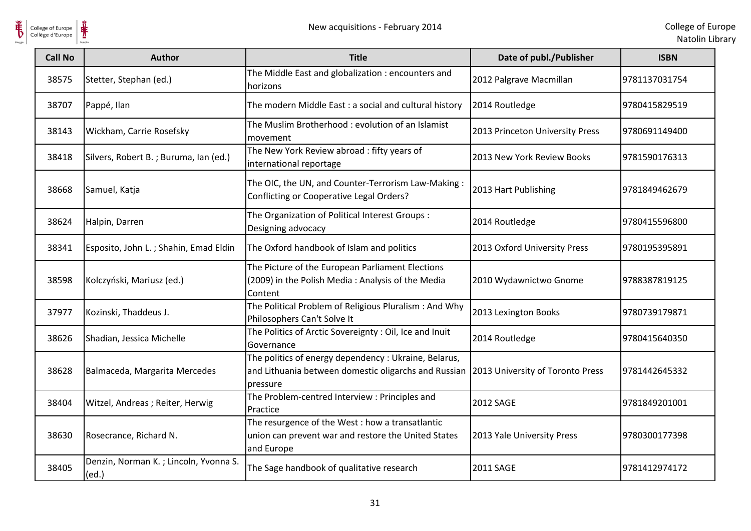

| <b>Call No</b> | <b>Author</b>                                  | <b>Title</b>                                                                                                                                               | Date of publ./Publisher         | <b>ISBN</b>   |
|----------------|------------------------------------------------|------------------------------------------------------------------------------------------------------------------------------------------------------------|---------------------------------|---------------|
| 38575          | Stetter, Stephan (ed.)                         | The Middle East and globalization : encounters and<br>horizons                                                                                             | 2012 Palgrave Macmillan         | 9781137031754 |
| 38707          | Pappé, Ilan                                    | The modern Middle East : a social and cultural history                                                                                                     | 2014 Routledge                  | 9780415829519 |
| 38143          | Wickham, Carrie Rosefsky                       | The Muslim Brotherhood: evolution of an Islamist<br>movement                                                                                               | 2013 Princeton University Press | 9780691149400 |
| 38418          | Silvers, Robert B.; Buruma, Ian (ed.)          | The New York Review abroad: fifty years of<br>international reportage                                                                                      | 2013 New York Review Books      | 9781590176313 |
| 38668          | Samuel, Katja                                  | The OIC, the UN, and Counter-Terrorism Law-Making:<br>Conflicting or Cooperative Legal Orders?                                                             | 2013 Hart Publishing            | 9781849462679 |
| 38624          | Halpin, Darren                                 | The Organization of Political Interest Groups :<br>Designing advocacy                                                                                      | 2014 Routledge                  | 9780415596800 |
| 38341          | Esposito, John L.; Shahin, Emad Eldin          | The Oxford handbook of Islam and politics                                                                                                                  | 2013 Oxford University Press    | 9780195395891 |
| 38598          | Kolczyński, Mariusz (ed.)                      | The Picture of the European Parliament Elections<br>(2009) in the Polish Media: Analysis of the Media<br>Content                                           | 2010 Wydawnictwo Gnome          | 9788387819125 |
| 37977          | Kozinski, Thaddeus J.                          | The Political Problem of Religious Pluralism: And Why<br>Philosophers Can't Solve It                                                                       | 2013 Lexington Books            | 9780739179871 |
| 38626          | Shadian, Jessica Michelle                      | The Politics of Arctic Sovereignty : Oil, Ice and Inuit<br>Governance                                                                                      | 2014 Routledge                  | 9780415640350 |
| 38628          | Balmaceda, Margarita Mercedes                  | The politics of energy dependency : Ukraine, Belarus,<br>and Lithuania between domestic oligarchs and Russian 2013 University of Toronto Press<br>pressure |                                 | 9781442645332 |
| 38404          | Witzel, Andreas ; Reiter, Herwig               | The Problem-centred Interview : Principles and<br>Practice                                                                                                 | <b>2012 SAGE</b>                | 9781849201001 |
| 38630          | Rosecrance, Richard N.                         | The resurgence of the West : how a transatlantic<br>union can prevent war and restore the United States<br>and Europe                                      | 2013 Yale University Press      | 9780300177398 |
| 38405          | Denzin, Norman K.; Lincoln, Yvonna S.<br>(ed.) | The Sage handbook of qualitative research                                                                                                                  | 2011 SAGE                       | 9781412974172 |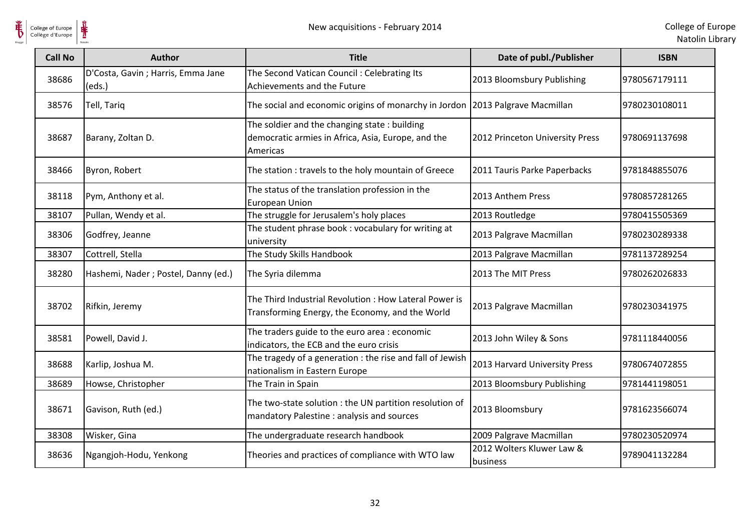

| <b>Call No</b> | <b>Author</b>                               | <b>Title</b>                                                                                                   | Date of publ./Publisher               | <b>ISBN</b>   |
|----------------|---------------------------------------------|----------------------------------------------------------------------------------------------------------------|---------------------------------------|---------------|
| 38686          | D'Costa, Gavin; Harris, Emma Jane<br>(eds.) | The Second Vatican Council: Celebrating Its<br>Achievements and the Future                                     | 2013 Bloomsbury Publishing            | 9780567179111 |
| 38576          | Tell, Tariq                                 | The social and economic origins of monarchy in Jordon 2013 Palgrave Macmillan                                  |                                       | 9780230108011 |
| 38687          | Barany, Zoltan D.                           | The soldier and the changing state: building<br>democratic armies in Africa, Asia, Europe, and the<br>Americas | 2012 Princeton University Press       | 9780691137698 |
| 38466          | Byron, Robert                               | The station : travels to the holy mountain of Greece                                                           | 2011 Tauris Parke Paperbacks          | 9781848855076 |
| 38118          | Pym, Anthony et al.                         | The status of the translation profession in the<br><b>European Union</b>                                       | 2013 Anthem Press                     | 9780857281265 |
| 38107          | Pullan, Wendy et al.                        | The struggle for Jerusalem's holy places                                                                       | 2013 Routledge                        | 9780415505369 |
| 38306          | Godfrey, Jeanne                             | The student phrase book: vocabulary for writing at<br>university                                               | 2013 Palgrave Macmillan               | 9780230289338 |
| 38307          | Cottrell, Stella                            | The Study Skills Handbook                                                                                      | 2013 Palgrave Macmillan               | 9781137289254 |
| 38280          | Hashemi, Nader; Postel, Danny (ed.)         | The Syria dilemma                                                                                              | 2013 The MIT Press                    | 9780262026833 |
| 38702          | Rifkin, Jeremy                              | The Third Industrial Revolution: How Lateral Power is<br>Transforming Energy, the Economy, and the World       | 2013 Palgrave Macmillan               | 9780230341975 |
| 38581          | Powell, David J.                            | The traders guide to the euro area : economic<br>indicators, the ECB and the euro crisis                       | 2013 John Wiley & Sons                | 9781118440056 |
| 38688          | Karlip, Joshua M.                           | The tragedy of a generation : the rise and fall of Jewish<br>nationalism in Eastern Europe                     | 2013 Harvard University Press         | 9780674072855 |
| 38689          | Howse, Christopher                          | The Train in Spain                                                                                             | 2013 Bloomsbury Publishing            | 9781441198051 |
| 38671          | Gavison, Ruth (ed.)                         | The two-state solution : the UN partition resolution of<br>mandatory Palestine : analysis and sources          | 2013 Bloomsbury                       | 9781623566074 |
| 38308          | Wisker, Gina                                | The undergraduate research handbook                                                                            | 2009 Palgrave Macmillan               | 9780230520974 |
| 38636          | Ngangjoh-Hodu, Yenkong                      | Theories and practices of compliance with WTO law                                                              | 2012 Wolters Kluwer Law &<br>business | 9789041132284 |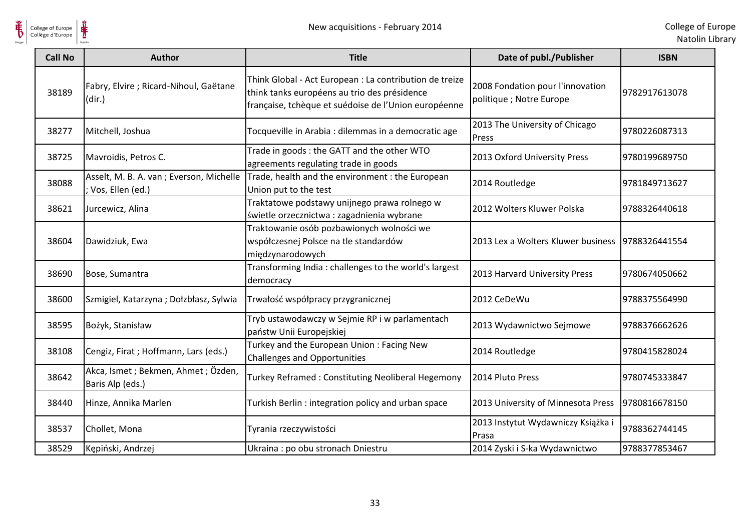

| <b>Call No</b> | <b>Author</b>                                                | <b>Title</b>                                                                                                                                                    | Date of publ./Publisher                                      | <b>ISBN</b>   |
|----------------|--------------------------------------------------------------|-----------------------------------------------------------------------------------------------------------------------------------------------------------------|--------------------------------------------------------------|---------------|
| 38189          | Fabry, Elvire ; Ricard-Nihoul, Gaëtane<br>(dir.)             | Think Global - Act European : La contribution de treize<br>think tanks européens au trio des présidence<br>française, tchèque et suédoise de l'Union européenne | 2008 Fondation pour l'innovation<br>politique ; Notre Europe | 9782917613078 |
| 38277          | Mitchell, Joshua                                             | Tocqueville in Arabia : dilemmas in a democratic age                                                                                                            | 2013 The University of Chicago<br>Press                      | 9780226087313 |
| 38725          | Mavroidis, Petros C.                                         | Trade in goods: the GATT and the other WTO<br>agreements regulating trade in goods                                                                              | 2013 Oxford University Press                                 | 9780199689750 |
| 38088          | Asselt, M. B. A. van ; Everson, Michelle<br>Vos, Ellen (ed.) | Trade, health and the environment : the European<br>Union put to the test                                                                                       | 2014 Routledge                                               | 9781849713627 |
| 38621          | Jurcewicz, Alina                                             | Traktatowe podstawy unijnego prawa rolnego w<br>świetle orzecznictwa : zagadnienia wybrane                                                                      | 2012 Wolters Kluwer Polska                                   | 9788326440618 |
| 38604          | Dawidziuk, Ewa                                               | Traktowanie osób pozbawionych wolności we<br>współczesnej Polsce na tle standardów<br>międzynarodowych                                                          | 2013 Lex a Wolters Kluwer business   9788326441554           |               |
| 38690          | Bose, Sumantra                                               | Transforming India: challenges to the world's largest<br>democracy                                                                                              | 2013 Harvard University Press                                | 9780674050662 |
| 38600          | Szmigiel, Katarzyna; Dołzbłasz, Sylwia                       | Trwałość współpracy przygranicznej                                                                                                                              | 2012 CeDeWu                                                  | 9788375564990 |
| 38595          | Bożyk, Stanisław                                             | Tryb ustawodawczy w Sejmie RP i w parlamentach<br>państw Unii Europejskiej                                                                                      | 2013 Wydawnictwo Sejmowe                                     | 9788376662626 |
| 38108          | Cengiz, Firat ; Hoffmann, Lars (eds.)                        | Turkey and the European Union: Facing New<br><b>Challenges and Opportunities</b>                                                                                | 2014 Routledge                                               | 9780415828024 |
| 38642          | Akca, Ismet ; Bekmen, Ahmet ; Özden,<br>Baris Alp (eds.)     | Turkey Reframed: Constituting Neoliberal Hegemony                                                                                                               | 2014 Pluto Press                                             | 9780745333847 |
| 38440          | Hinze, Annika Marlen                                         | Turkish Berlin: integration policy and urban space                                                                                                              | 2013 University of Minnesota Press                           | 9780816678150 |
| 38537          | Chollet, Mona                                                | Tyrania rzeczywistości                                                                                                                                          | 2013 Instytut Wydawniczy Książka i<br>Prasa                  | 9788362744145 |
| 38529          | Kępiński, Andrzej                                            | Ukraina: po obu stronach Dniestru                                                                                                                               | 2014 Zyski i S-ka Wydawnictwo                                | 9788377853467 |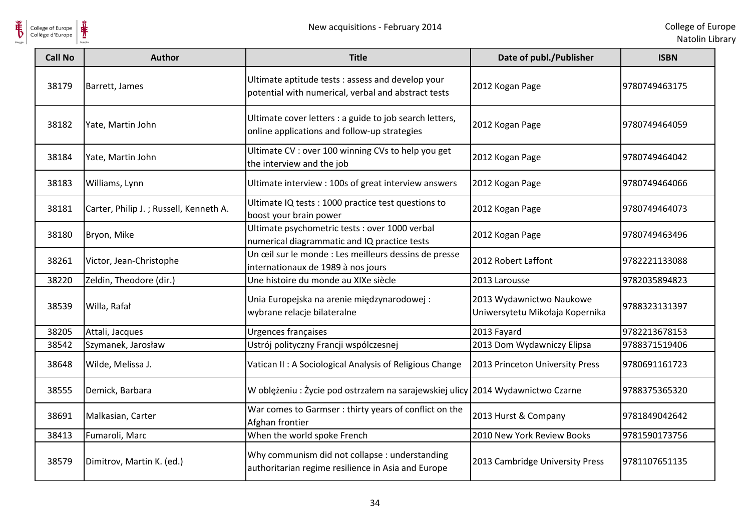

| <b>Call No</b> | <b>Author</b>                          | <b>Title</b>                                                                                             | Date of publ./Publisher                                     | <b>ISBN</b>   |
|----------------|----------------------------------------|----------------------------------------------------------------------------------------------------------|-------------------------------------------------------------|---------------|
| 38179          | Barrett, James                         | Ultimate aptitude tests : assess and develop your<br>potential with numerical, verbal and abstract tests | 2012 Kogan Page                                             | 9780749463175 |
| 38182          | Yate, Martin John                      | Ultimate cover letters : a guide to job search letters,<br>online applications and follow-up strategies  | 2012 Kogan Page                                             | 9780749464059 |
| 38184          | Yate, Martin John                      | Ultimate CV : over 100 winning CVs to help you get<br>the interview and the job                          | 2012 Kogan Page                                             | 9780749464042 |
| 38183          | Williams, Lynn                         | Ultimate interview : 100s of great interview answers                                                     | 2012 Kogan Page                                             | 9780749464066 |
| 38181          | Carter, Philip J.; Russell, Kenneth A. | Ultimate IQ tests : 1000 practice test questions to<br>boost your brain power                            | 2012 Kogan Page                                             | 9780749464073 |
| 38180          | Bryon, Mike                            | Ultimate psychometric tests : over 1000 verbal<br>numerical diagrammatic and IQ practice tests           | 2012 Kogan Page                                             | 9780749463496 |
| 38261          | Victor, Jean-Christophe                | Un œil sur le monde : Les meilleurs dessins de presse<br>internationaux de 1989 à nos jours              | 2012 Robert Laffont                                         | 9782221133088 |
| 38220          | Zeldin, Theodore (dir.)                | Une histoire du monde au XIXe siècle                                                                     | 2013 Larousse                                               | 9782035894823 |
| 38539          | Willa, Rafał                           | Unia Europejska na arenie międzynarodowej:<br>wybrane relacje bilateralne                                | 2013 Wydawnictwo Naukowe<br>Uniwersytetu Mikołaja Kopernika | 9788323131397 |
| 38205          | Attali, Jacques                        | Urgences françaises                                                                                      | 2013 Fayard                                                 | 9782213678153 |
| 38542          | Szymanek, Jarosław                     | Ustrój polityczny Francji wspólczesnej                                                                   | 2013 Dom Wydawniczy Elipsa                                  | 9788371519406 |
| 38648          | Wilde, Melissa J.                      | Vatican II : A Sociological Analysis of Religious Change                                                 | 2013 Princeton University Press                             | 9780691161723 |
| 38555          | Demick, Barbara                        | W oblężeniu: Życie pod ostrzałem na sarajewskiej ulicy 2014 Wydawnictwo Czarne                           |                                                             | 9788375365320 |
| 38691          | Malkasian, Carter                      | War comes to Garmser : thirty years of conflict on the<br>Afghan frontier                                | 2013 Hurst & Company                                        | 9781849042642 |
| 38413          | Fumaroli, Marc                         | When the world spoke French                                                                              | 2010 New York Review Books                                  | 9781590173756 |
| 38579          | Dimitrov, Martin K. (ed.)              | Why communism did not collapse : understanding<br>authoritarian regime resilience in Asia and Europe     | 2013 Cambridge University Press                             | 9781107651135 |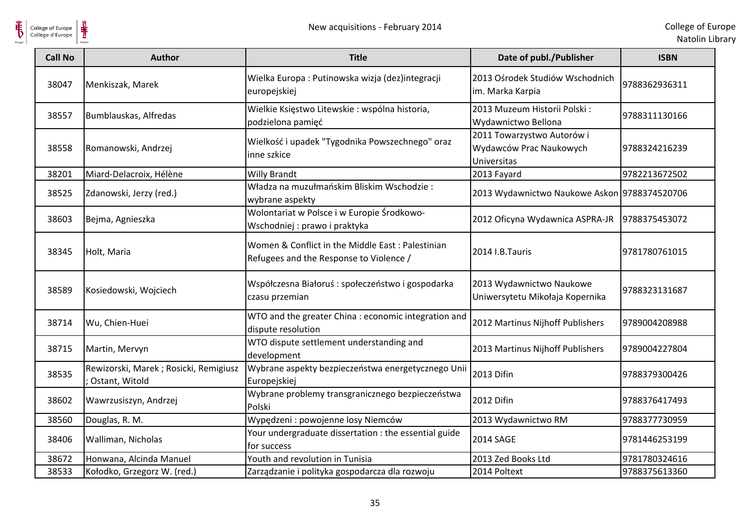



| College of Europe<br>Collège d'Europe | ⋕                                                       | New acquisitions - February 2014                                                            |                                                                      | College of Eur<br>Natolin Lib |
|---------------------------------------|---------------------------------------------------------|---------------------------------------------------------------------------------------------|----------------------------------------------------------------------|-------------------------------|
| <b>Call No</b>                        | <b>Author</b>                                           | <b>Title</b>                                                                                | Date of publ./Publisher                                              | <b>ISBN</b>                   |
| 38047                                 | Menkiszak, Marek                                        | Wielka Europa : Putinowska wizja (dez)integracji<br>europejskiej                            | 2013 Ośrodek Studiów Wschodnich<br>im. Marka Karpia                  | 9788362936311                 |
| 38557                                 | Bumblauskas, Alfredas                                   | Wielkie Księstwo Litewskie: wspólna historia,<br>podzielona pamięć                          | 2013 Muzeum Historii Polski:<br>Wydawnictwo Bellona                  | 9788311130166                 |
| 38558                                 | Romanowski, Andrzej                                     | Wielkość i upadek "Tygodnika Powszechnego" oraz<br>inne szkice                              | 2011 Towarzystwo Autorów i<br>Wydawców Prac Naukowych<br>Universitas | 9788324216239                 |
| 38201                                 | Miard-Delacroix, Hélène                                 | <b>Willy Brandt</b>                                                                         | 2013 Fayard                                                          | 9782213672502                 |
| 38525                                 | Zdanowski, Jerzy (red.)                                 | Władza na muzułmańskim Bliskim Wschodzie:<br>wybrane aspekty                                | 2013 Wydawnictwo Naukowe Askon 9788374520706                         |                               |
| 38603                                 | Bejma, Agnieszka                                        | Wolontariat w Polsce i w Europie Środkowo-<br>Wschodniej: prawo i praktyka                  | 2012 Oficyna Wydawnica ASPRA-JR                                      | 9788375453072                 |
| 38345                                 | Holt, Maria                                             | Women & Conflict in the Middle East: Palestinian<br>Refugees and the Response to Violence / | 2014 I.B.Tauris                                                      | 9781780761015                 |
| 38589                                 | Kosiedowski, Wojciech                                   | Współczesna Białoruś: społeczeństwo i gospodarka<br>czasu przemian                          | 2013 Wydawnictwo Naukowe<br>Uniwersytetu Mikołaja Kopernika          | 9788323131687                 |
| 38714                                 | Wu, Chien-Huei                                          | WTO and the greater China : economic integration and<br>dispute resolution                  | 2012 Martinus Nijhoff Publishers                                     | 9789004208988                 |
| 38715                                 | Martin, Mervyn                                          | WTO dispute settlement understanding and<br>development                                     | 2013 Martinus Nijhoff Publishers                                     | 9789004227804                 |
| 38535                                 | Rewizorski, Marek; Rosicki, Remigiusz<br>Ostant, Witold | Wybrane aspekty bezpieczeństwa energetycznego Unii<br>Europejskiej                          | 2013 Difin                                                           | 9788379300426                 |
| 38602                                 | Wawrzusiszyn, Andrzej                                   | Wybrane problemy transgranicznego bezpieczeństwa<br>Polski                                  | 2012 Difin                                                           | 9788376417493                 |
| 38560                                 | Douglas, R. M.                                          | Wypędzeni : powojenne losy Niemców                                                          | 2013 Wydawnictwo RM                                                  | 9788377730959                 |
| 38406                                 | Walliman, Nicholas                                      | Your undergraduate dissertation : the essential guide<br>for success                        | 2014 SAGE                                                            | 9781446253199                 |
| 38672                                 | Honwana, Alcinda Manuel                                 | Youth and revolution in Tunisia                                                             | 2013 Zed Books Ltd                                                   | 9781780324616                 |
| 38533                                 | Kołodko, Grzegorz W. (red.)                             | Zarządzanie i polityka gospodarcza dla rozwoju                                              | 2014 Poltext                                                         | 9788375613360                 |